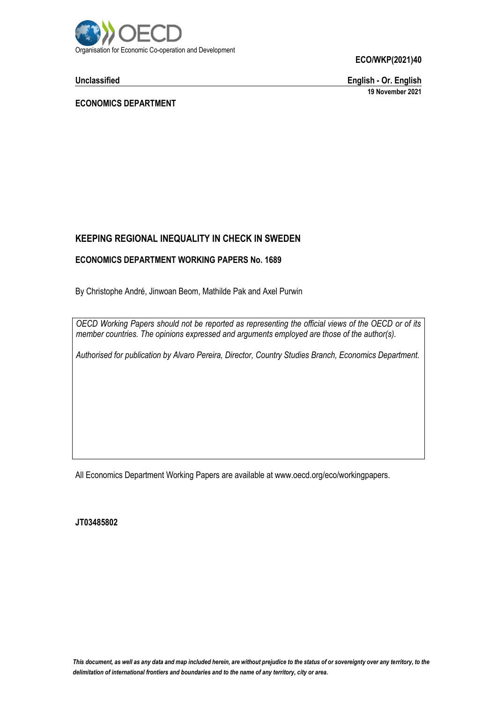

**Unclassified English - Or. English 19 November 2021**

**ECONOMICS DEPARTMENT**

## **KEEPING REGIONAL INEQUALITY IN CHECK IN SWEDEN**

#### **ECONOMICS DEPARTMENT WORKING PAPERS No. 1689**

By Christophe André, Jinwoan Beom, Mathilde Pak and Axel Purwin

*OECD Working Papers should not be reported as representing the official views of the OECD or of its member countries. The opinions expressed and arguments employed are those of the author(s).*

*Authorised for publication by Alvaro Pereira, Director, Country Studies Branch, Economics Department.*

All Economics Department Working Papers are available at www.oecd.org/eco/workingpapers.

**JT03485802**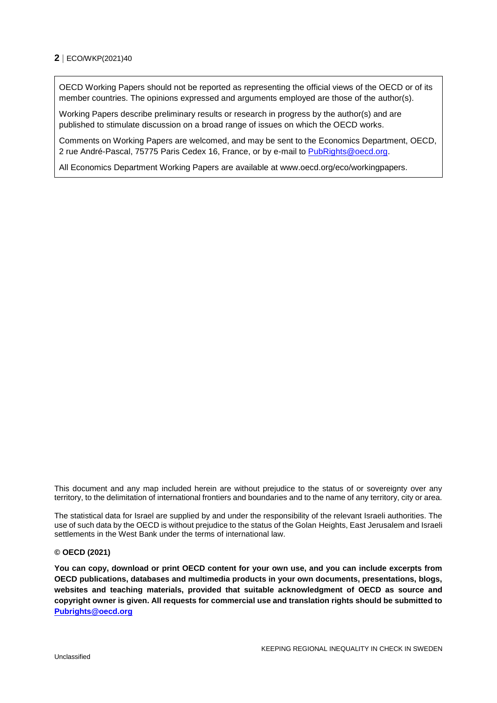OECD Working Papers should not be reported as representing the official views of the OECD or of its member countries. The opinions expressed and arguments employed are those of the author(s).

Working Papers describe preliminary results or research in progress by the author(s) and are published to stimulate discussion on a broad range of issues on which the OECD works.

Comments on Working Papers are welcomed, and may be sent to the Economics Department, OECD, 2 rue André-Pascal, 75775 Paris Cedex 16, France, or by e-mail to [PubRights@oecd.org.](mailto:PubRights@oecd.org)

All Economics Department Working Papers are available at www.oecd.org/eco/workingpapers.

This document and any map included herein are without prejudice to the status of or sovereignty over any territory, to the delimitation of international frontiers and boundaries and to the name of any territory, city or area.

The statistical data for Israel are supplied by and under the responsibility of the relevant Israeli authorities. The use of such data by the OECD is without prejudice to the status of the Golan Heights, East Jerusalem and Israeli settlements in the West Bank under the terms of international law.

#### **© OECD (2021)**

**You can copy, download or print OECD content for your own use, and you can include excerpts from OECD publications, databases and multimedia products in your own documents, presentations, blogs, websites and teaching materials, provided that suitable acknowledgment of OECD as source and copyright owner is given. All requests for commercial use and translation rights should be submitted to [Pubrights@oecd.org](mailto:rights@oecd.org)**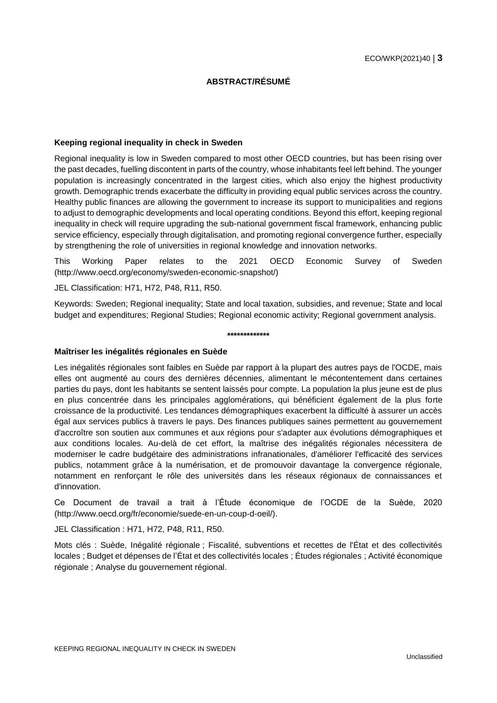#### **ABSTRACT/RÉSUMÉ**

#### **Keeping regional inequality in check in Sweden**

Regional inequality is low in Sweden compared to most other OECD countries, but has been rising over the past decades, fuelling discontent in parts of the country, whose inhabitants feel left behind. The younger population is increasingly concentrated in the largest cities, which also enjoy the highest productivity growth. Demographic trends exacerbate the difficulty in providing equal public services across the country. Healthy public finances are allowing the government to increase its support to municipalities and regions to adjust to demographic developments and local operating conditions. Beyond this effort, keeping regional inequality in check will require upgrading the sub-national government fiscal framework, enhancing public service efficiency, especially through digitalisation, and promoting regional convergence further, especially by strengthening the role of universities in regional knowledge and innovation networks.

This Working Paper relates to the 2021 OECD Economic Survey of Sweden (http://www.oecd.org/economy/sweden-economic-snapshot/)

JEL Classification: H71, H72, P48, R11, R50.

Keywords: Sweden; Regional inequality; State and local taxation, subsidies, and revenue; State and local budget and expenditures; Regional Studies; Regional economic activity; Regional government analysis.

#### **\*\*\*\*\*\*\*\*\*\*\*\*\***

#### **Maîtriser les inégalités régionales en Suède**

Les inégalités régionales sont faibles en Suède par rapport à la plupart des autres pays de l'OCDE, mais elles ont augmenté au cours des dernières décennies, alimentant le mécontentement dans certaines parties du pays, dont les habitants se sentent laissés pour compte. La population la plus jeune est de plus en plus concentrée dans les principales agglomérations, qui bénéficient également de la plus forte croissance de la productivité. Les tendances démographiques exacerbent la difficulté à assurer un accès égal aux services publics à travers le pays. Des finances publiques saines permettent au gouvernement d'accroître son soutien aux communes et aux régions pour s'adapter aux évolutions démographiques et aux conditions locales. Au-delà de cet effort, la maîtrise des inégalités régionales nécessitera de moderniser le cadre budgétaire des administrations infranationales, d'améliorer l'efficacité des services publics, notamment grâce à la numérisation, et de promouvoir davantage la convergence régionale, notamment en renforçant le rôle des universités dans les réseaux régionaux de connaissances et d'innovation.

Ce Document de travail a trait à l'Étude économique de l'OCDE de la Suède, 2020 (http://www.oecd.org/fr/economie/suede-en-un-coup-d-oeil/).

JEL Classification : H71, H72, P48, R11, R50.

Mots clés : Suède, Inégalité régionale ; Fiscalité, subventions et recettes de l'État et des collectivités locales ; Budget et dépenses de l'État et des collectivités locales ; Études régionales ; Activité économique régionale ; Analyse du gouvernement régional.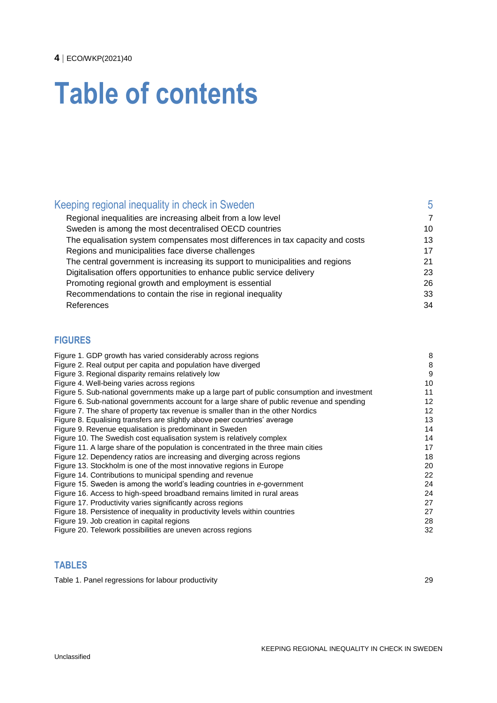# **Table of contents**

| Keeping regional inequality in check in Sweden                                 | 5  |
|--------------------------------------------------------------------------------|----|
| Regional inequalities are increasing albeit from a low level                   | 7  |
| Sweden is among the most decentralised OECD countries                          | 10 |
| The equalisation system compensates most differences in tax capacity and costs | 13 |
| Regions and municipalities face diverse challenges                             | 17 |
| The central government is increasing its support to municipalities and regions | 21 |
| Digitalisation offers opportunities to enhance public service delivery         | 23 |
| Promoting regional growth and employment is essential                          | 26 |
| Recommendations to contain the rise in regional inequality                     | 33 |
| References                                                                     | 34 |
|                                                                                |    |

## **FIGURES**

| Figure 1. GDP growth has varied considerably across regions                                  | 8  |
|----------------------------------------------------------------------------------------------|----|
| Figure 2. Real output per capita and population have diverged                                | 8  |
| Figure 3. Regional disparity remains relatively low                                          | 9  |
| Figure 4. Well-being varies across regions                                                   | 10 |
| Figure 5. Sub-national governments make up a large part of public consumption and investment | 11 |
| Figure 6. Sub-national governments account for a large share of public revenue and spending  | 12 |
| Figure 7. The share of property tax revenue is smaller than in the other Nordics             | 12 |
| Figure 8. Equalising transfers are slightly above peer countries' average                    | 13 |
| Figure 9. Revenue equalisation is predominant in Sweden                                      | 14 |
| Figure 10. The Swedish cost equalisation system is relatively complex                        | 14 |
| Figure 11. A large share of the population is concentrated in the three main cities          | 17 |
| Figure 12. Dependency ratios are increasing and diverging across regions                     | 18 |
| Figure 13. Stockholm is one of the most innovative regions in Europe                         | 20 |
| Figure 14. Contributions to municipal spending and revenue                                   | 22 |
| Figure 15. Sweden is among the world's leading countries in e-government                     | 24 |
| Figure 16. Access to high-speed broadband remains limited in rural areas                     | 24 |
| Figure 17. Productivity varies significantly across regions                                  | 27 |
| Figure 18. Persistence of inequality in productivity levels within countries                 | 27 |
| Figure 19. Job creation in capital regions                                                   | 28 |
| Figure 20. Telework possibilities are uneven across regions                                  | 32 |
|                                                                                              |    |

## **TABLES**

Table [1. Panel regressions for labour productivity](#page-28-0) **Table 1. Panel 1. 29** 29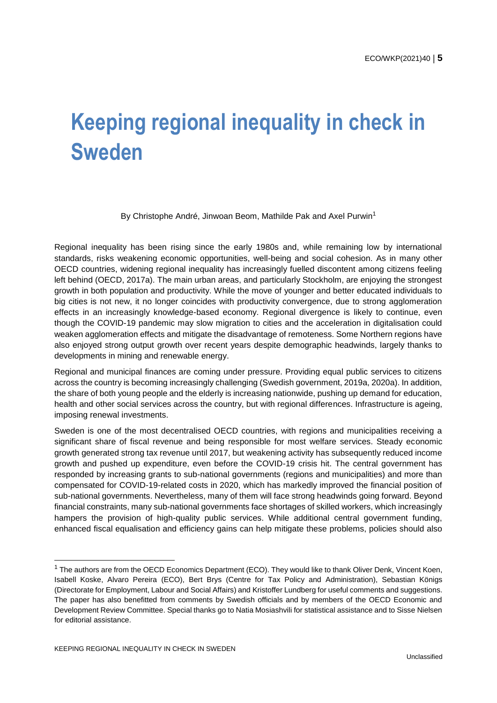## <span id="page-4-0"></span>**Keeping regional inequality in check in Sweden**

By Christophe André, Jinwoan Beom, Mathilde Pak and Axel Purwin<sup>1</sup>

Regional inequality has been rising since the early 1980s and, while remaining low by international standards, risks weakening economic opportunities, well-being and social cohesion. As in many other OECD countries, widening regional inequality has increasingly fuelled discontent among citizens feeling left behind (OECD, 2017a). The main urban areas, and particularly Stockholm, are enjoying the strongest growth in both population and productivity. While the move of younger and better educated individuals to big cities is not new, it no longer coincides with productivity convergence, due to strong agglomeration effects in an increasingly knowledge-based economy. Regional divergence is likely to continue, even though the COVID-19 pandemic may slow migration to cities and the acceleration in digitalisation could weaken agglomeration effects and mitigate the disadvantage of remoteness. Some Northern regions have also enjoyed strong output growth over recent years despite demographic headwinds, largely thanks to developments in mining and renewable energy.

Regional and municipal finances are coming under pressure. Providing equal public services to citizens across the country is becoming increasingly challenging (Swedish government, 2019a, 2020a). In addition, the share of both young people and the elderly is increasing nationwide, pushing up demand for education, health and other social services across the country, but with regional differences. Infrastructure is ageing, imposing renewal investments.

Sweden is one of the most decentralised OECD countries, with regions and municipalities receiving a significant share of fiscal revenue and being responsible for most welfare services. Steady economic growth generated strong tax revenue until 2017, but weakening activity has subsequently reduced income growth and pushed up expenditure, even before the COVID-19 crisis hit. The central government has responded by increasing grants to sub-national governments (regions and municipalities) and more than compensated for COVID-19-related costs in 2020, which has markedly improved the financial position of sub-national governments. Nevertheless, many of them will face strong headwinds going forward. Beyond financial constraints, many sub-national governments face shortages of skilled workers, which increasingly hampers the provision of high-quality public services. While additional central government funding, enhanced fiscal equalisation and efficiency gains can help mitigate these problems, policies should also

<sup>&</sup>lt;sup>1</sup> The authors are from the OECD Economics Department (ECO). They would like to thank Oliver Denk, Vincent Koen, Isabell Koske, Alvaro Pereira (ECO), Bert Brys (Centre for Tax Policy and Administration), Sebastian Königs (Directorate for Employment, Labour and Social Affairs) and Kristoffer Lundberg for useful comments and suggestions. The paper has also benefitted from comments by Swedish officials and by members of the OECD Economic and Development Review Committee. Special thanks go to Natia Mosiashvili for statistical assistance and to Sisse Nielsen for editorial assistance.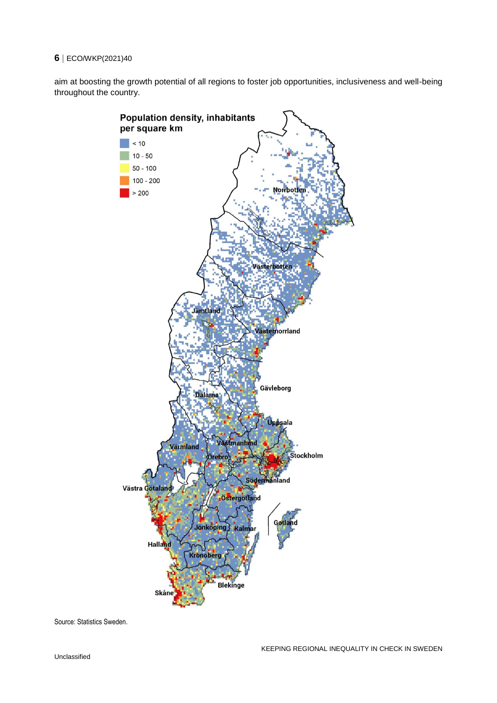aim at boosting the growth potential of all regions to foster job opportunities, inclusiveness and well-being throughout the country.



Source: Statistics Sweden.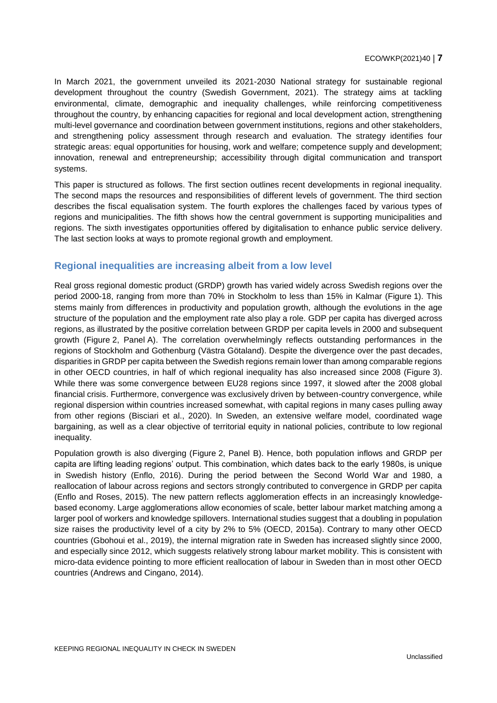In March 2021, the government unveiled its 2021-2030 National strategy for sustainable regional development throughout the country (Swedish Government, 2021). The strategy aims at tackling environmental, climate, demographic and inequality challenges, while reinforcing competitiveness throughout the country, by enhancing capacities for regional and local development action, strengthening multi-level governance and coordination between government institutions, regions and other stakeholders, and strengthening policy assessment through research and evaluation. The strategy identifies four strategic areas: equal opportunities for housing, work and welfare; competence supply and development; innovation, renewal and entrepreneurship; accessibility through digital communication and transport systems.

This paper is structured as follows. The first section outlines recent developments in regional inequality. The second maps the resources and responsibilities of different levels of government. The third section describes the fiscal equalisation system. The fourth explores the challenges faced by various types of regions and municipalities. The fifth shows how the central government is supporting municipalities and regions. The sixth investigates opportunities offered by digitalisation to enhance public service delivery. The last section looks at ways to promote regional growth and employment.

## <span id="page-6-0"></span>**Regional inequalities are increasing albeit from a low level**

Real gross regional domestic product (GRDP) growth has varied widely across Swedish regions over the period 2000-18, ranging from more than 70% in Stockholm to less than 15% in Kalmar [\(Figure](#page-7-0) 1). This stems mainly from differences in productivity and population growth, although the evolutions in the age structure of the population and the employment rate also play a role. GDP per capita has diverged across regions, as illustrated by the positive correlation between GRDP per capita levels in 2000 and subsequent growth [\(Figure](#page-7-1) 2, Panel A). The correlation overwhelmingly reflects outstanding performances in the regions of Stockholm and Gothenburg (Västra Götaland). Despite the divergence over the past decades, disparities in GRDP per capita between the Swedish regions remain lower than among comparable regions in other OECD countries, in half of which regional inequality has also increased since 2008 [\(Figure](#page-8-0) 3). While there was some convergence between EU28 regions since 1997, it slowed after the 2008 global financial crisis. Furthermore, convergence was exclusively driven by between-country convergence, while regional dispersion within countries increased somewhat, with capital regions in many cases pulling away from other regions (Bisciari et al., 2020). In Sweden, an extensive welfare model, coordinated wage bargaining, as well as a clear objective of territorial equity in national policies, contribute to low regional inequality.

Population growth is also diverging [\(Figure](#page-7-1) 2, Panel B). Hence, both population inflows and GRDP per capita are lifting leading regions' output. This combination, which dates back to the early 1980s, is unique in Swedish history (Enflo, 2016). During the period between the Second World War and 1980, a reallocation of labour across regions and sectors strongly contributed to convergence in GRDP per capita (Enflo and Roses, 2015). The new pattern reflects agglomeration effects in an increasingly knowledgebased economy. Large agglomerations allow economies of scale, better labour market matching among a larger pool of workers and knowledge spillovers. International studies suggest that a doubling in population size raises the productivity level of a city by 2% to 5% (OECD, 2015a). Contrary to many other OECD countries (Gbohoui et al., 2019), the internal migration rate in Sweden has increased slightly since 2000, and especially since 2012, which suggests relatively strong labour market mobility. This is consistent with micro-data evidence pointing to more efficient reallocation of labour in Sweden than in most other OECD countries (Andrews and Cingano, 2014).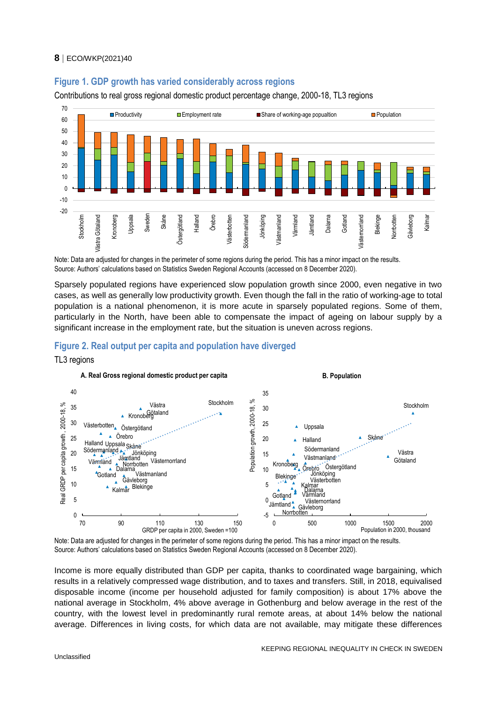#### <span id="page-7-0"></span>**Figure 1. GDP growth has varied considerably across regions**

Contributions to real gross regional domestic product percentage change, 2000-18, TL3 regions



Note: Data are adjusted for changes in the perimeter of some regions during the period. This has a minor impact on the results. Source: Authors' calculations based on Statistics Sweden Regional Accounts (accessed on 8 December 2020).

Sparsely populated regions have experienced slow population growth since 2000, even negative in two cases, as well as generally low productivity growth. Even though the fall in the ratio of working-age to total population is a national phenomenon, it is more acute in sparsely populated regions. Some of them, particularly in the North, have been able to compensate the impact of ageing on labour supply by a significant increase in the employment rate, but the situation is uneven across regions.

#### <span id="page-7-1"></span>**Figure 2. Real output per capita and population have diverged**

#### TL3 regions



Note: Data are adjusted for changes in the perimeter of some regions during the period. This has a minor impact on the results. Source: Authors' calculations based on Statistics Sweden Regional Accounts (accessed on 8 December 2020).

Income is more equally distributed than GDP per capita, thanks to coordinated wage bargaining, which results in a relatively compressed wage distribution, and to taxes and transfers. Still, in 2018, equivalised disposable income (income per household adjusted for family composition) is about 17% above the national average in Stockholm, 4% above average in Gothenburg and below average in the rest of the country, with the lowest level in predominantly rural remote areas, at about 14% below the national average. Differences in living costs, for which data are not available, may mitigate these differences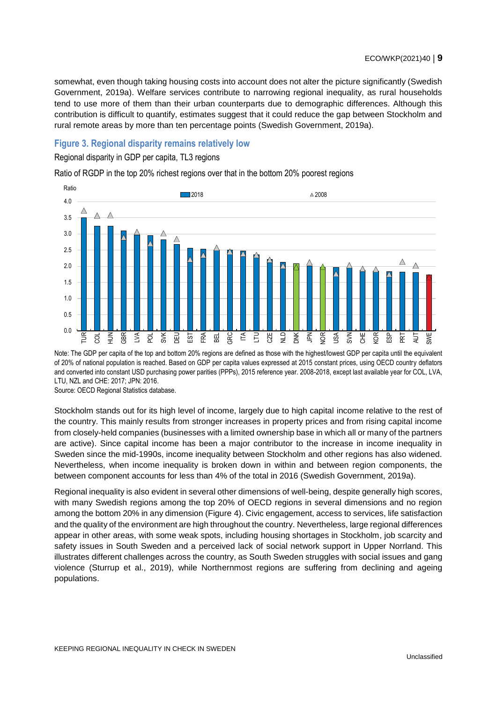somewhat, even though taking housing costs into account does not alter the picture significantly (Swedish Government, 2019a). Welfare services contribute to narrowing regional inequality, as rural households tend to use more of them than their urban counterparts due to demographic differences. Although this contribution is difficult to quantify, estimates suggest that it could reduce the gap between Stockholm and rural remote areas by more than ten percentage points (Swedish Government, 2019a).

#### <span id="page-8-0"></span>**Figure 3. Regional disparity remains relatively low**

#### Regional disparity in GDP per capita, TL3 regions

Ratio of RGDP in the top 20% richest regions over that in the bottom 20% poorest regions



Note: The GDP per capita of the top and bottom 20% regions are defined as those with the highest/lowest GDP per capita until the equivalent of 20% of national population is reached. Based on GDP per capita values expressed at 2015 constant prices, using OECD country deflators and converted into constant USD purchasing power parities (PPPs), 2015 reference year. 2008-2018, except last available year for COL, LVA, LTU, NZL and CHE: 2017; JPN: 2016.

Source: OECD Regional Statistics database.

Stockholm stands out for its high level of income, largely due to high capital income relative to the rest of the country. This mainly results from stronger increases in property prices and from rising capital income from closely-held companies (businesses with a limited ownership base in which all or many of the partners are active). Since capital income has been a major contributor to the increase in income inequality in Sweden since the mid-1990s, income inequality between Stockholm and other regions has also widened. Nevertheless, when income inequality is broken down in within and between region components, the between component accounts for less than 4% of the total in 2016 (Swedish Government, 2019a).

Regional inequality is also evident in several other dimensions of well-being, despite generally high scores, with many Swedish regions among the top 20% of OECD regions in several dimensions and no region among the bottom 20% in any dimension [\(Figure](#page-9-1) 4). Civic engagement, access to services, life satisfaction and the quality of the environment are high throughout the country. Nevertheless, large regional differences appear in other areas, with some weak spots, including housing shortages in Stockholm, job scarcity and safety issues in South Sweden and a perceived lack of social network support in Upper Norrland. This illustrates different challenges across the country, as South Sweden struggles with social issues and gang violence (Sturrup et al., 2019), while Northernmost regions are suffering from declining and ageing populations.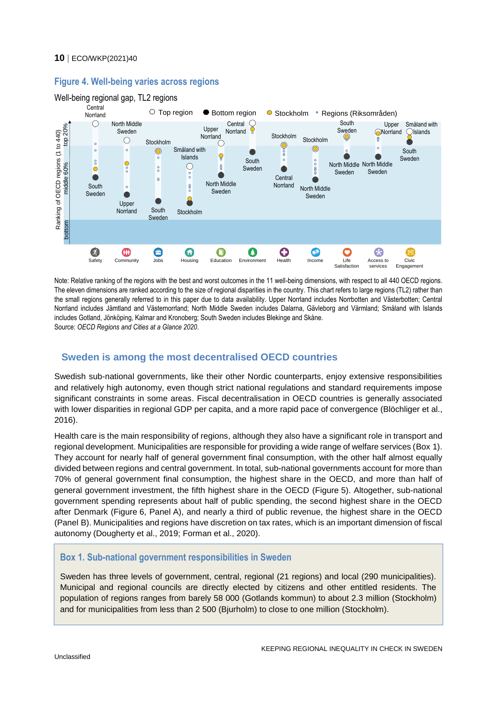

## <span id="page-9-1"></span>**Figure 4. Well-being varies across regions**

Note: Relative ranking of the regions with the best and worst outcomes in the 11 well-being dimensions, with respect to all 440 OECD regions. The eleven dimensions are ranked according to the size of regional disparities in the country. This chart refers to large regions (TL2) rather than the small regions generally referred to in this paper due to data availability. Upper Norrland includes Norrbotten and Västerbotten; Central Norrland includes Jämtland and Västernorrland; North Middle Sweden includes Dalarna, Gävleborg and Värmland; Småland with Islands includes Gotland, Jönköping, Kalmar and Kronoberg; South Sweden includes Blekinge and Skåne. Source: *OECD Regions and Cities at a Glance 2020*.

## <span id="page-9-0"></span>**Sweden is among the most decentralised OECD countries**

Swedish sub-national governments, like their other Nordic counterparts, enjoy extensive responsibilities and relatively high autonomy, even though strict national regulations and standard requirements impose significant constraints in some areas. Fiscal decentralisation in OECD countries is generally associated with lower disparities in regional GDP per capita, and a more rapid pace of convergence (Blöchliger et al., 2016).

Health care is the main responsibility of regions, although they also have a significant role in transport and regional development. Municipalities are responsible for providing a wide range of welfare services [\(Box](#page-9-2) 1). They account for nearly half of general government final consumption, with the other half almost equally divided between regions and central government. In total, sub-national governments account for more than 70% of general government final consumption, the highest share in the OECD, and more than half of general government investment, the fifth highest share in the OECD [\(Figure](#page-10-0) 5). Altogether, sub-national government spending represents about half of public spending, the second highest share in the OECD after Denmark [\(Figure](#page-11-0) 6, Panel A), and nearly a third of public revenue, the highest share in the OECD (Panel B). Municipalities and regions have discretion on tax rates, which is an important dimension of fiscal autonomy (Dougherty et al., 2019; Forman et al., 2020).

## <span id="page-9-2"></span>**Box 1. Sub-national government responsibilities in Sweden**

Sweden has three levels of government, central, regional (21 regions) and local (290 municipalities). Municipal and regional councils are directly elected by citizens and other entitled residents. The population of regions ranges from barely 58 000 (Gotlands kommun) to about 2.3 million (Stockholm) and for municipalities from less than 2 500 (Bjurholm) to close to one million (Stockholm).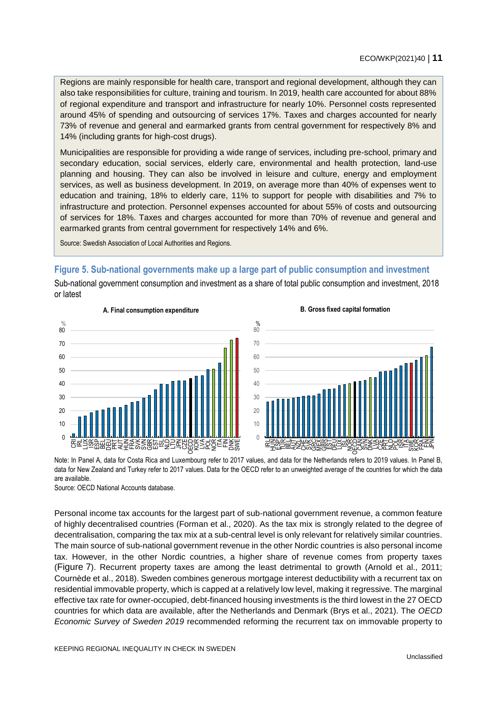Regions are mainly responsible for health care, transport and regional development, although they can also take responsibilities for culture, training and tourism. In 2019, health care accounted for about 88% of regional expenditure and transport and infrastructure for nearly 10%. Personnel costs represented around 45% of spending and outsourcing of services 17%. Taxes and charges accounted for nearly 73% of revenue and general and earmarked grants from central government for respectively 8% and 14% (including grants for high-cost drugs).

Municipalities are responsible for providing a wide range of services, including pre-school, primary and secondary education, social services, elderly care, environmental and health protection, land-use planning and housing. They can also be involved in leisure and culture, energy and employment services, as well as business development. In 2019, on average more than 40% of expenses went to education and training, 18% to elderly care, 11% to support for people with disabilities and 7% to infrastructure and protection. Personnel expenses accounted for about 55% of costs and outsourcing of services for 18%. Taxes and charges accounted for more than 70% of revenue and general and earmarked grants from central government for respectively 14% and 6%.

Source: Swedish Association of Local Authorities and Regions.

## <span id="page-10-0"></span>**Figure 5. Sub-national governments make up a large part of public consumption and investment**

Sub-national government consumption and investment as a share of total public consumption and investment, 2018 or latest





Note: In Panel A, data for Costa Rica and Luxembourg refer to 2017 values, and data for the Netherlands refers to 2019 values. In Panel B, data for New Zealand and Turkey refer to 2017 values. Data for the OECD refer to an unweighted average of the countries for which the data are available.

Source: OECD National Accounts database.

Personal income tax accounts for the largest part of sub-national government revenue, a common feature of highly decentralised countries (Forman et al., 2020). As the tax mix is strongly related to the degree of decentralisation, comparing the tax mix at a sub-central level is only relevant for relatively similar countries. The main source of sub-national government revenue in the other Nordic countries is also personal income tax. However, in the other Nordic countries, a higher share of revenue comes from property taxes ([Figure](#page-11-1) 7). Recurrent property taxes are among the least detrimental to growth (Arnold et al., 2011; Cournède et al., 2018). Sweden combines generous mortgage interest deductibility with a recurrent tax on residential immovable property, which is capped at a relatively low level, making it regressive. The marginal effective tax rate for owner-occupied, debt-financed housing investments is the third lowest in the 27 OECD countries for which data are available, after the Netherlands and Denmark (Brys et al., 2021). The *OECD Economic Survey of Sweden 2019* recommended reforming the recurrent tax on immovable property to

**B. Gross fixed capital formation**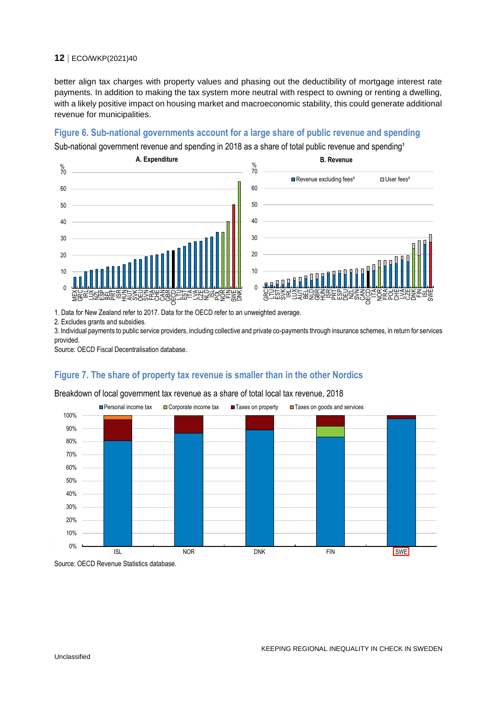better align tax charges with property values and phasing out the deductibility of mortgage interest rate payments. In addition to making the tax system more neutral with respect to owning or renting a dwelling, with a likely positive impact on housing market and macroeconomic stability, this could generate additional revenue for municipalities.

#### <span id="page-11-0"></span>**Figure 6. Sub-national governments account for a large share of public revenue and spending**

Sub-national government revenue and spending in 2018 as a share of total public revenue and spending<sup>1</sup>



1. Data for New Zealand refer to 2017. Data for the OECD refer to an unweighted average.

2. Excludes grants and subsidies.

3. Individual payments to public service providers, including collective and private co-payments through insurance schemes, in return for services provided.

Source: OECD Fiscal Decentralisation database.

## <span id="page-11-1"></span>**Figure 7. The share of property tax revenue is smaller than in the other Nordics**

#### Breakdown of local government tax revenue as a share of total local tax revenue, 2018



Source: OECD Revenue Statistics database.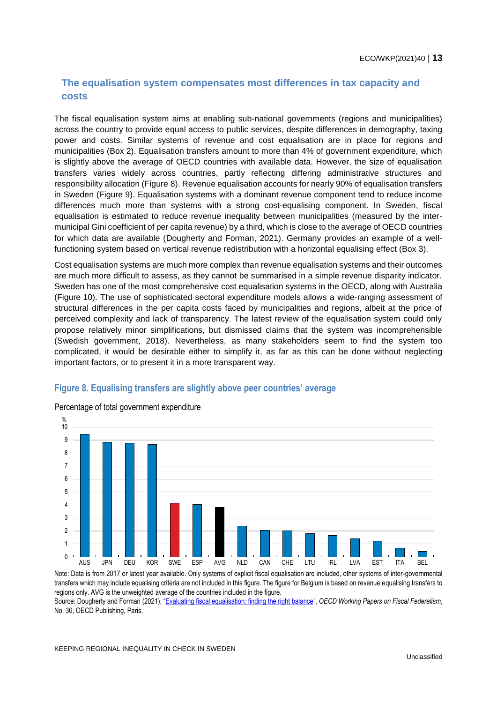## <span id="page-12-0"></span>**The equalisation system compensates most differences in tax capacity and costs**

The fiscal equalisation system aims at enabling sub-national governments (regions and municipalities) across the country to provide equal access to public services, despite differences in demography, taxing power and costs. Similar systems of revenue and cost equalisation are in place for regions and municipalities [\(Box](#page-14-0) 2). Equalisation transfers amount to more than 4% of government expenditure, which is slightly above the average of OECD countries with available data. However, the size of equalisation transfers varies widely across countries, partly reflecting differing administrative structures and responsibility allocation [\(Figure](#page-12-1) 8). Revenue equalisation accounts for nearly 90% of equalisation transfers in Sweden [\(Figure](#page-13-0) 9). Equalisation systems with a dominant revenue component tend to reduce income differences much more than systems with a strong cost-equalising component. In Sweden, fiscal equalisation is estimated to reduce revenue inequality between municipalities (measured by the intermunicipal Gini coefficient of per capita revenue) by a third, which is close to the average of OECD countries for which data are available (Dougherty and Forman, 2021). Germany provides an example of a wellfunctioning system based on vertical revenue redistribution with a horizontal equalising effect [\(Box](#page-15-0) 3).

Cost equalisation systems are much more complex than revenue equalisation systems and their outcomes are much more difficult to assess, as they cannot be summarised in a simple revenue disparity indicator. Sweden has one of the most comprehensive cost equalisation systems in the OECD, along with Australia [\(Figure](#page-13-1) 10). The use of sophisticated sectoral expenditure models allows a wide-ranging assessment of structural differences in the per capita costs faced by municipalities and regions, albeit at the price of perceived complexity and lack of transparency. The latest review of the equalisation system could only propose relatively minor simplifications, but dismissed claims that the system was incomprehensible (Swedish government, 2018). Nevertheless, as many stakeholders seem to find the system too complicated, it would be desirable either to simplify it, as far as this can be done without neglecting important factors, or to present it in a more transparent way.

#### <span id="page-12-1"></span>**Figure 8. Equalising transfers are slightly above peer countries' average**



#### Percentage of total government expenditure

Note: Data is from 2017 or latest year available. Only systems of explicit fiscal equalisation are included, other systems of inter-governmental transfers which may include equalising criteria are not included in this figure. The figure for Belgium is based on revenue equalising transfers to regions only. AVG is the unweighted average of the countries included in the figure.

Source: Dougherty and Forman (2021), "[Evaluating fiscal equalisation: finding the right balance](https://doi.org/10.1787/253da2b8-en)", *OECD Working Papers on Fiscal Federalism*, No. 36, OECD Publishing, Paris.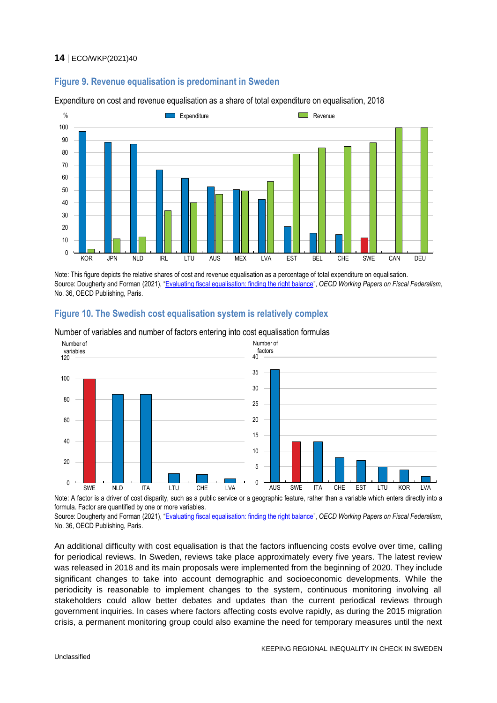## <span id="page-13-0"></span>**Figure 9. Revenue equalisation is predominant in Sweden**

Expenditure on cost and revenue equalisation as a share of total expenditure on equalisation, 2018



Note: This figure depicts the relative shares of cost and revenue equalisation as a percentage of total expenditure on equalisation. Source: Dougherty and Forman (2021), "[Evaluating fiscal equalisation: finding the right balance](https://doi.org/10.1787/253da2b8-en)", *OECD Working Papers on Fiscal Federalism*, No. 36, OECD Publishing, Paris.

<span id="page-13-1"></span>



Number of variables and number of factors entering into cost equalisation formulas

Note: A factor is a driver of cost disparity, such as a public service or a geographic feature, rather than a variable which enters directly into a formula. Factor are quantified by one or more variables.

Source: Dougherty and Forman (2021), "[Evaluating fiscal equalisation: finding the right balance](https://doi.org/10.1787/253da2b8-en)", *OECD Working Papers on Fiscal Federalism*, No. 36, OECD Publishing, Paris.

An additional difficulty with cost equalisation is that the factors influencing costs evolve over time, calling for periodical reviews. In Sweden, reviews take place approximately every five years. The latest review was released in 2018 and its main proposals were implemented from the beginning of 2020. They include significant changes to take into account demographic and socioeconomic developments. While the periodicity is reasonable to implement changes to the system, continuous monitoring involving all stakeholders could allow better debates and updates than the current periodical reviews through government inquiries. In cases where factors affecting costs evolve rapidly, as during the 2015 migration crisis, a permanent monitoring group could also examine the need for temporary measures until the next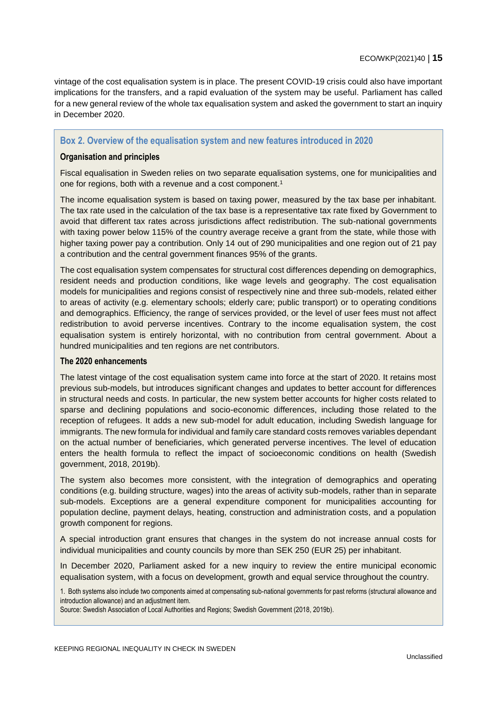vintage of the cost equalisation system is in place. The present COVID-19 crisis could also have important implications for the transfers, and a rapid evaluation of the system may be useful. Parliament has called for a new general review of the whole tax equalisation system and asked the government to start an inquiry in December 2020.

## <span id="page-14-0"></span>**Box 2. Overview of the equalisation system and new features introduced in 2020**

#### **Organisation and principles**

Fiscal equalisation in Sweden relies on two separate equalisation systems, one for municipalities and one for regions, both with a revenue and a cost component.<sup>1</sup>

The income equalisation system is based on taxing power, measured by the tax base per inhabitant. The tax rate used in the calculation of the tax base is a representative tax rate fixed by Government to avoid that different tax rates across jurisdictions affect redistribution. The sub-national governments with taxing power below 115% of the country average receive a grant from the state, while those with higher taxing power pay a contribution. Only 14 out of 290 municipalities and one region out of 21 pay a contribution and the central government finances 95% of the grants.

The cost equalisation system compensates for structural cost differences depending on demographics, resident needs and production conditions, like wage levels and geography. The cost equalisation models for municipalities and regions consist of respectively nine and three sub-models, related either to areas of activity (e.g. elementary schools; elderly care; public transport) or to operating conditions and demographics. Efficiency, the range of services provided, or the level of user fees must not affect redistribution to avoid perverse incentives. Contrary to the income equalisation system, the cost equalisation system is entirely horizontal, with no contribution from central government. About a hundred municipalities and ten regions are net contributors.

#### **The 2020 enhancements**

The latest vintage of the cost equalisation system came into force at the start of 2020. It retains most previous sub-models, but introduces significant changes and updates to better account for differences in structural needs and costs. In particular, the new system better accounts for higher costs related to sparse and declining populations and socio-economic differences, including those related to the reception of refugees. It adds a new sub-model for adult education, including Swedish language for immigrants. The new formula for individual and family care standard costs removes variables dependant on the actual number of beneficiaries, which generated perverse incentives. The level of education enters the health formula to reflect the impact of socioeconomic conditions on health (Swedish government, 2018, 2019b).

The system also becomes more consistent, with the integration of demographics and operating conditions (e.g. building structure, wages) into the areas of activity sub-models, rather than in separate sub-models. Exceptions are a general expenditure component for municipalities accounting for population decline, payment delays, heating, construction and administration costs, and a population growth component for regions.

A special introduction grant ensures that changes in the system do not increase annual costs for individual municipalities and county councils by more than SEK 250 (EUR 25) per inhabitant.

In December 2020, Parliament asked for a new inquiry to review the entire municipal economic equalisation system, with a focus on development, growth and equal service throughout the country.

1. Both systems also include two components aimed at compensating sub-national governments for past reforms (structural allowance and introduction allowance) and an adjustment item.

Source: Swedish Association of Local Authorities and Regions; Swedish Government (2018, 2019b).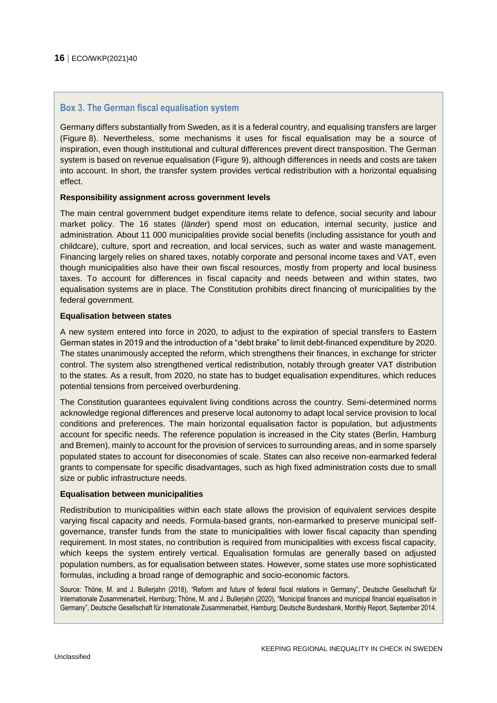#### <span id="page-15-0"></span>**Box 3. The German fiscal equalisation system**

Germany differs substantially from Sweden, as it is a federal country, and equalising transfers are larger [\(Figure](#page-12-1) 8). Nevertheless, some mechanisms it uses for fiscal equalisation may be a source of inspiration, even though institutional and cultural differences prevent direct transposition. The German system is based on revenue equalisation [\(Figure](#page-13-0) 9), although differences in needs and costs are taken into account. In short, the transfer system provides vertical redistribution with a horizontal equalising effect.

#### **Responsibility assignment across government levels**

The main central government budget expenditure items relate to defence, social security and labour market policy. The 16 states (*länder*) spend most on education, internal security, justice and administration. About 11 000 municipalities provide social benefits (including assistance for youth and childcare), culture, sport and recreation, and local services, such as water and waste management. Financing largely relies on shared taxes, notably corporate and personal income taxes and VAT, even though municipalities also have their own fiscal resources, mostly from property and local business taxes. To account for differences in fiscal capacity and needs between and within states, two equalisation systems are in place. The Constitution prohibits direct financing of municipalities by the federal government.

#### **Equalisation between states**

A new system entered into force in 2020, to adjust to the expiration of special transfers to Eastern German states in 2019 and the introduction of a "debt brake" to limit debt-financed expenditure by 2020. The states unanimously accepted the reform, which strengthens their finances, in exchange for stricter control. The system also strengthened vertical redistribution, notably through greater VAT distribution to the states. As a result, from 2020, no state has to budget equalisation expenditures, which reduces potential tensions from perceived overburdening.

The Constitution guarantees equivalent living conditions across the country. Semi-determined norms acknowledge regional differences and preserve local autonomy to adapt local service provision to local conditions and preferences. The main horizontal equalisation factor is population, but adjustments account for specific needs. The reference population is increased in the City states (Berlin, Hamburg and Bremen), mainly to account for the provision of services to surrounding areas, and in some sparsely populated states to account for diseconomies of scale. States can also receive non-earmarked federal grants to compensate for specific disadvantages, such as high fixed administration costs due to small size or public infrastructure needs.

#### **Equalisation between municipalities**

Redistribution to municipalities within each state allows the provision of equivalent services despite varying fiscal capacity and needs. Formula-based grants, non-earmarked to preserve municipal selfgovernance, transfer funds from the state to municipalities with lower fiscal capacity than spending requirement. In most states, no contribution is required from municipalities with excess fiscal capacity, which keeps the system entirely vertical. Equalisation formulas are generally based on adjusted population numbers, as for equalisation between states. However, some states use more sophisticated formulas, including a broad range of demographic and socio-economic factors.

Source: Thöne, M. and J. Bullerjahn (2018), "Reform and future of federal fiscal relations in Germany", Deutsche Gesellschaft für Internationale Zusammenarbeit, Hamburg; Thöne, M. and J. Bullerjahn (2020), "Municipal finances and municipal financial equalisation in Germany", Deutsche Gesellschaft für Internationale Zusammenarbeit, Hamburg; Deutsche Bundesbank, Monthly Report, September 2014.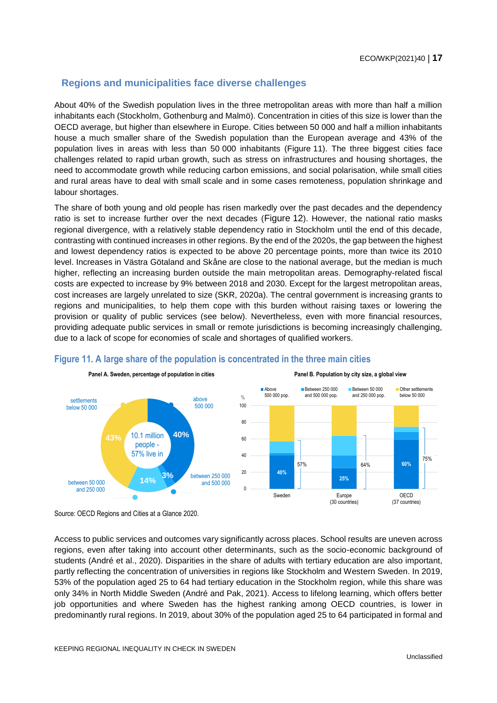## <span id="page-16-0"></span>**Regions and municipalities face diverse challenges**

About 40% of the Swedish population lives in the three metropolitan areas with more than half a million inhabitants each (Stockholm, Gothenburg and Malmö). Concentration in cities of this size is lower than the OECD average, but higher than elsewhere in Europe. Cities between 50 000 and half a million inhabitants house a much smaller share of the Swedish population than the European average and 43% of the population lives in areas with less than 50 000 inhabitants [\(Figure](#page-16-1) 11). The three biggest cities face challenges related to rapid urban growth, such as stress on infrastructures and housing shortages, the need to accommodate growth while reducing carbon emissions, and social polarisation, while small cities and rural areas have to deal with small scale and in some cases remoteness, population shrinkage and labour shortages.

The share of both young and old people has risen markedly over the past decades and the dependency ratio is set to increase further over the next decades ([Figure](#page-17-0) 12). However, the national ratio masks regional divergence, with a relatively stable dependency ratio in Stockholm until the end of this decade, contrasting with continued increases in other regions. By the end of the 2020s, the gap between the highest and lowest dependency ratios is expected to be above 20 percentage points, more than twice its 2010 level. Increases in Västra Götaland and Skåne are close to the national average, but the median is much higher, reflecting an increasing burden outside the main metropolitan areas. Demography-related fiscal costs are expected to increase by 9% between 2018 and 2030. Except for the largest metropolitan areas, cost increases are largely unrelated to size (SKR, 2020a). The central government is increasing grants to regions and municipalities, to help them cope with this burden without raising taxes or lowering the provision or quality of public services (see below). Nevertheless, even with more financial resources, providing adequate public services in small or remote jurisdictions is becoming increasingly challenging, due to a lack of scope for economies of scale and shortages of qualified workers.



## <span id="page-16-1"></span>**Figure 11. A large share of the population is concentrated in the three main cities**

Access to public services and outcomes vary significantly across places. School results are uneven across regions, even after taking into account other determinants, such as the socio-economic background of students (André et al., 2020). Disparities in the share of adults with tertiary education are also important, partly reflecting the concentration of universities in regions like Stockholm and Western Sweden. In 2019, 53% of the population aged 25 to 64 had tertiary education in the Stockholm region, while this share was only 34% in North Middle Sweden (André and Pak, 2021). Access to lifelong learning, which offers better job opportunities and where Sweden has the highest ranking among OECD countries, is lower in predominantly rural regions. In 2019, about 30% of the population aged 25 to 64 participated in formal and

Source: OECD Regions and Cities at a Glance 2020.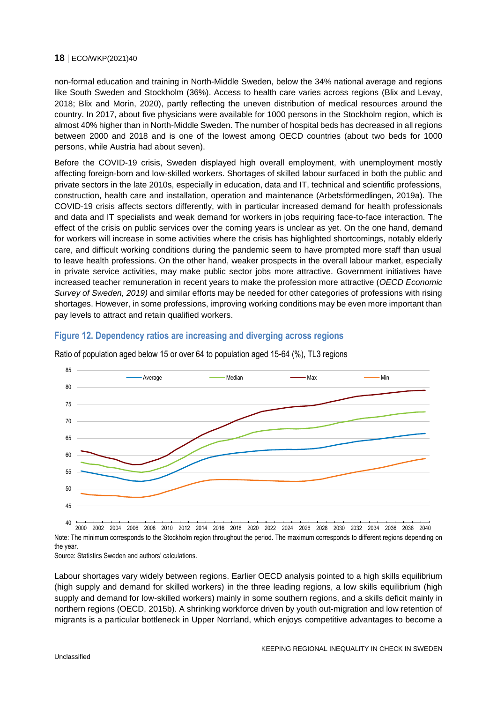non-formal education and training in North-Middle Sweden, below the 34% national average and regions like South Sweden and Stockholm (36%). Access to health care varies across regions (Blix and Levay, 2018; Blix and Morin, 2020), partly reflecting the uneven distribution of medical resources around the country. In 2017, about five physicians were available for 1000 persons in the Stockholm region, which is almost 40% higher than in North-Middle Sweden. The number of hospital beds has decreased in all regions between 2000 and 2018 and is one of the lowest among OECD countries (about two beds for 1000 persons, while Austria had about seven).

Before the COVID-19 crisis, Sweden displayed high overall employment, with unemployment mostly affecting foreign-born and low-skilled workers. Shortages of skilled labour surfaced in both the public and private sectors in the late 2010s, especially in education, data and IT, technical and scientific professions, construction, health care and installation, operation and maintenance (Arbetsförmedlingen, 2019a). The COVID-19 crisis affects sectors differently, with in particular increased demand for health professionals and data and IT specialists and weak demand for workers in jobs requiring face-to-face interaction. The effect of the crisis on public services over the coming years is unclear as yet. On the one hand, demand for workers will increase in some activities where the crisis has highlighted shortcomings, notably elderly care, and difficult working conditions during the pandemic seem to have prompted more staff than usual to leave health professions. On the other hand, weaker prospects in the overall labour market, especially in private service activities, may make public sector jobs more attractive. Government initiatives have increased teacher remuneration in recent years to make the profession more attractive (*OECD Economic Survey of Sweden, 2019)* and similar efforts may be needed for other categories of professions with rising shortages. However, in some professions, improving working conditions may be even more important than pay levels to attract and retain qualified workers.

## <span id="page-17-0"></span>**Figure 12. Dependency ratios are increasing and diverging across regions**



Ratio of population aged below 15 or over 64 to population aged 15-64 (%), TL3 regions

Note: The minimum corresponds to the Stockholm region throughout the period. The maximum corresponds to different regions depending on the year. 2000 2002 2004 2006 2008 2010 2012 2014 2016 2018 2020 2022 2024 2026 2028 2030 2032 2034 2036 2038 2040

Source: Statistics Sweden and authors' calculations.

Labour shortages vary widely between regions. Earlier OECD analysis pointed to a high skills equilibrium (high supply and demand for skilled workers) in the three leading regions, a low skills equilibrium (high supply and demand for low-skilled workers) mainly in some southern regions, and a skills deficit mainly in northern regions (OECD, 2015b). A shrinking workforce driven by youth out-migration and low retention of migrants is a particular bottleneck in Upper Norrland, which enjoys competitive advantages to become a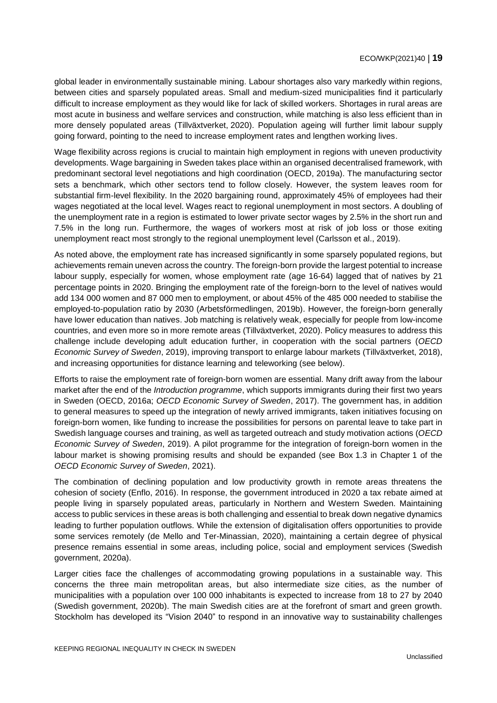global leader in environmentally sustainable mining. Labour shortages also vary markedly within regions, between cities and sparsely populated areas. Small and medium-sized municipalities find it particularly difficult to increase employment as they would like for lack of skilled workers. Shortages in rural areas are most acute in business and welfare services and construction, while matching is also less efficient than in more densely populated areas (Tillväxtverket, 2020). Population ageing will further limit labour supply going forward, pointing to the need to increase employment rates and lengthen working lives.

Wage flexibility across regions is crucial to maintain high employment in regions with uneven productivity developments. Wage bargaining in Sweden takes place within an organised decentralised framework, with predominant sectoral level negotiations and high coordination (OECD, 2019a). The manufacturing sector sets a benchmark, which other sectors tend to follow closely. However, the system leaves room for substantial firm-level flexibility. In the 2020 bargaining round, approximately 45% of employees had their wages negotiated at the local level. Wages react to regional unemployment in most sectors. A doubling of the unemployment rate in a region is estimated to lower private sector wages by 2.5% in the short run and 7.5% in the long run. Furthermore, the wages of workers most at risk of job loss or those exiting unemployment react most strongly to the regional unemployment level (Carlsson et al., 2019).

As noted above, the employment rate has increased significantly in some sparsely populated regions, but achievements remain uneven across the country. The foreign-born provide the largest potential to increase labour supply, especially for women, whose employment rate (age 16-64) lagged that of natives by 21 percentage points in 2020. Bringing the employment rate of the foreign-born to the level of natives would add 134 000 women and 87 000 men to employment, or about 45% of the 485 000 needed to stabilise the employed-to-population ratio by 2030 (Arbetsförmedlingen, 2019b). However, the foreign-born generally have lower education than natives. Job matching is relatively weak, especially for people from low-income countries, and even more so in more remote areas (Tillväxtverket, 2020). Policy measures to address this challenge include developing adult education further, in cooperation with the social partners (*OECD Economic Survey of Sweden*, 2019), improving transport to enlarge labour markets (Tillväxtverket, 2018), and increasing opportunities for distance learning and teleworking (see below).

Efforts to raise the employment rate of foreign-born women are essential. Many drift away from the labour market after the end of the *Introduction programme*, which supports immigrants during their first two years in Sweden (OECD, 2016a; *OECD Economic Survey of Sweden*, 2017). The government has, in addition to general measures to speed up the integration of newly arrived immigrants, taken initiatives focusing on foreign-born women, like funding to increase the possibilities for persons on parental leave to take part in Swedish language courses and training, as well as targeted outreach and study motivation actions (*OECD Economic Survey of Sweden*, 2019). A pilot programme for the integration of foreign-born women in the labour market is showing promising results and should be expanded (see Box 1.3 in Chapter 1 of the *OECD Economic Survey of Sweden*, 2021).

The combination of declining population and low productivity growth in remote areas threatens the cohesion of society (Enflo, 2016). In response, the government introduced in 2020 a tax rebate aimed at people living in sparsely populated areas, particularly in Northern and Western Sweden. Maintaining access to public services in these areas is both challenging and essential to break down negative dynamics leading to further population outflows. While the extension of digitalisation offers opportunities to provide some services remotely (de Mello and Ter-Minassian, 2020), maintaining a certain degree of physical presence remains essential in some areas, including police, social and employment services (Swedish government, 2020a).

Larger cities face the challenges of accommodating growing populations in a sustainable way. This concerns the three main metropolitan areas, but also intermediate size cities, as the number of municipalities with a population over 100 000 inhabitants is expected to increase from 18 to 27 by 2040 (Swedish government, 2020b). The main Swedish cities are at the forefront of smart and green growth. Stockholm has developed its "Vision 2040" to respond in an innovative way to sustainability challenges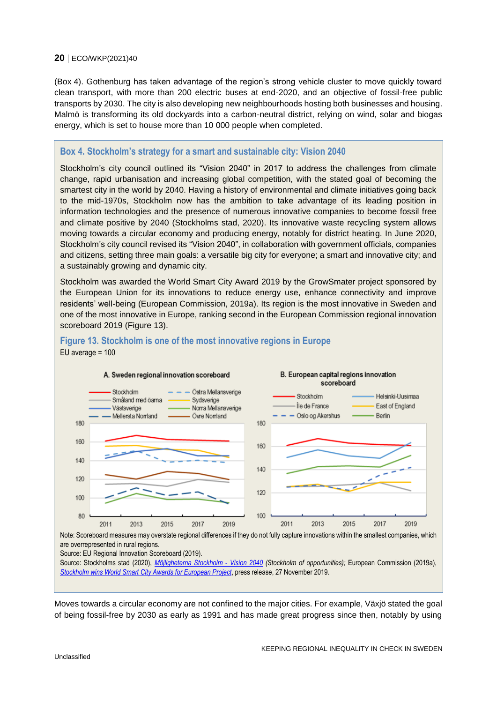[\(Box](#page-19-1) 4). Gothenburg has taken advantage of the region's strong vehicle cluster to move quickly toward clean transport, with more than 200 electric buses at end-2020, and an objective of fossil-free public transports by 2030. The city is also developing new neighbourhoods hosting both businesses and housing. Malmö is transforming its old dockyards into a carbon-neutral district, relying on wind, solar and biogas energy, which is set to house more than 10 000 people when completed.

#### <span id="page-19-1"></span>**Box 4. Stockholm's strategy for a smart and sustainable city: Vision 2040**

Stockholm's city council outlined its "Vision 2040" in 2017 to address the challenges from climate change, rapid urbanisation and increasing global competition, with the stated goal of becoming the smartest city in the world by 2040. Having a history of environmental and climate initiatives going back to the mid-1970s, Stockholm now has the ambition to take advantage of its leading position in information technologies and the presence of numerous innovative companies to become fossil free and climate positive by 2040 (Stockholms stad, 2020). Its innovative waste recycling system allows moving towards a circular economy and producing energy, notably for district heating. In June 2020, Stockholm's city council revised its "Vision 2040", in collaboration with government officials, companies and citizens, setting three main goals: a versatile big city for everyone; a smart and innovative city; and a sustainably growing and dynamic city.

Stockholm was awarded the World Smart City Award 2019 by the GrowSmater project sponsored by the European Union for its innovations to reduce energy use, enhance connectivity and improve residents' well-being (European Commission, 2019a). Its region is the most innovative in Sweden and one of the most innovative in Europe, ranking second in the European Commission regional innovation scoreboard 2019 [\(Figure](#page-19-0) 13).



#### <span id="page-19-0"></span>**Figure 13. Stockholm is one of the most innovative regions in Europe** EU average = 100

Note: Scoreboard measures may overstate regional differences if they do not fully capture innovations within the smallest companies, which are overrepresented in rural regions.

Source: EU Regional Innovation Scoreboard (2019).

Source: Stockholms stad (2020), *[Möjligheterna Stockholm -](https://start.stockholm/globalassets/start/om-stockholms-stad/politik-och-demokrati/styrdokument/vision-2040-mojligheternas-stockholm.pdf) Vision 2040 (Stockholm of opportunities);* European Commission (2019a), *[Stockholm wins World Smart City Awards for European Project](https://cordis.europa.eu/article/id/411609-stockholm-wins-world-smart-city-awards-for-european-project)*, press release, 27 November 2019.

Moves towards a circular economy are not confined to the major cities. For example, Växjö stated the goal of being fossil-free by 2030 as early as 1991 and has made great progress since then, notably by using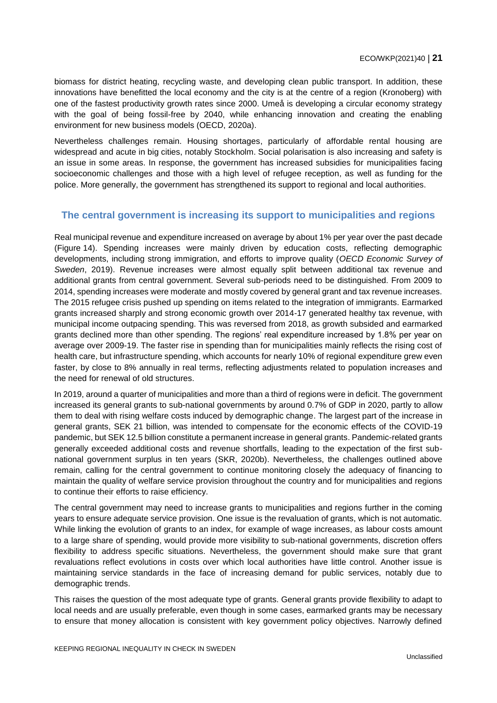biomass for district heating, recycling waste, and developing clean public transport. In addition, these innovations have benefitted the local economy and the city is at the centre of a region (Kronoberg) with one of the fastest productivity growth rates since 2000. Umeå is developing a circular economy strategy with the goal of being fossil-free by 2040, while enhancing innovation and creating the enabling environment for new business models (OECD, 2020a).

Nevertheless challenges remain. Housing shortages, particularly of affordable rental housing are widespread and acute in big cities, notably Stockholm. Social polarisation is also increasing and safety is an issue in some areas. In response, the government has increased subsidies for municipalities facing socioeconomic challenges and those with a high level of refugee reception, as well as funding for the police. More generally, the government has strengthened its support to regional and local authorities.

## <span id="page-20-0"></span>**The central government is increasing its support to municipalities and regions**

Real municipal revenue and expenditure increased on average by about 1% per year over the past decade [\(Figure](#page-21-0) 14). Spending increases were mainly driven by education costs, reflecting demographic developments, including strong immigration, and efforts to improve quality (*OECD Economic Survey of Sweden*, 2019). Revenue increases were almost equally split between additional tax revenue and additional grants from central government. Several sub-periods need to be distinguished. From 2009 to 2014, spending increases were moderate and mostly covered by general grant and tax revenue increases. The 2015 refugee crisis pushed up spending on items related to the integration of immigrants. Earmarked grants increased sharply and strong economic growth over 2014-17 generated healthy tax revenue, with municipal income outpacing spending. This was reversed from 2018, as growth subsided and earmarked grants declined more than other spending. The regions' real expenditure increased by 1.8% per year on average over 2009-19. The faster rise in spending than for municipalities mainly reflects the rising cost of health care, but infrastructure spending, which accounts for nearly 10% of regional expenditure grew even faster, by close to 8% annually in real terms, reflecting adjustments related to population increases and the need for renewal of old structures.

In 2019, around a quarter of municipalities and more than a third of regions were in deficit. The government increased its general grants to sub-national governments by around 0.7% of GDP in 2020, partly to allow them to deal with rising welfare costs induced by demographic change. The largest part of the increase in general grants, SEK 21 billion, was intended to compensate for the economic effects of the COVID-19 pandemic, but SEK 12.5 billion constitute a permanent increase in general grants. Pandemic-related grants generally exceeded additional costs and revenue shortfalls, leading to the expectation of the first subnational government surplus in ten years (SKR, 2020b). Nevertheless, the challenges outlined above remain, calling for the central government to continue monitoring closely the adequacy of financing to maintain the quality of welfare service provision throughout the country and for municipalities and regions to continue their efforts to raise efficiency.

The central government may need to increase grants to municipalities and regions further in the coming years to ensure adequate service provision. One issue is the revaluation of grants, which is not automatic. While linking the evolution of grants to an index, for example of wage increases, as labour costs amount to a large share of spending, would provide more visibility to sub-national governments, discretion offers flexibility to address specific situations. Nevertheless, the government should make sure that grant revaluations reflect evolutions in costs over which local authorities have little control. Another issue is maintaining service standards in the face of increasing demand for public services, notably due to demographic trends.

This raises the question of the most adequate type of grants. General grants provide flexibility to adapt to local needs and are usually preferable, even though in some cases, earmarked grants may be necessary to ensure that money allocation is consistent with key government policy objectives. Narrowly defined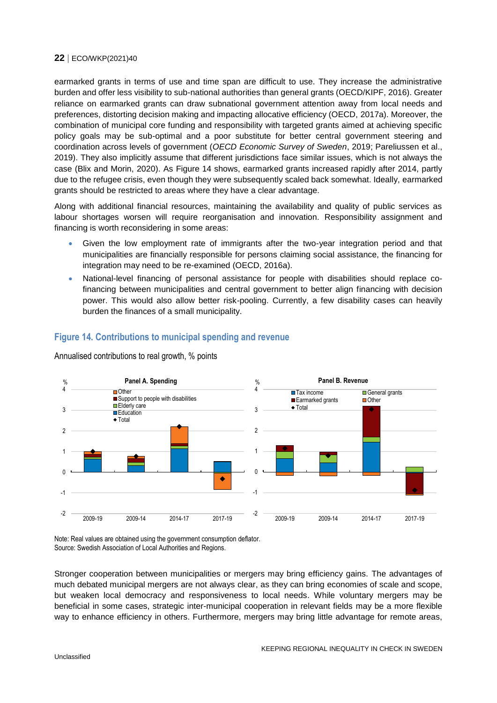earmarked grants in terms of use and time span are difficult to use. They increase the administrative burden and offer less visibility to sub-national authorities than general grants (OECD/KIPF, 2016). Greater reliance on earmarked grants can draw subnational government attention away from local needs and preferences, distorting decision making and impacting allocative efficiency (OECD, 2017a). Moreover, the combination of municipal core funding and responsibility with targeted grants aimed at achieving specific policy goals may be sub-optimal and a poor substitute for better central government steering and coordination across levels of government (*OECD Economic Survey of Sweden*, 2019; Pareliussen et al., 2019). They also implicitly assume that different jurisdictions face similar issues, which is not always the case (Blix and Morin, 2020). As Figure 14 shows, earmarked grants increased rapidly after 2014, partly due to the refugee crisis, even though they were subsequently scaled back somewhat. Ideally, earmarked grants should be restricted to areas where they have a clear advantage.

Along with additional financial resources, maintaining the availability and quality of public services as labour shortages worsen will require reorganisation and innovation. Responsibility assignment and financing is worth reconsidering in some areas:

- Given the low employment rate of immigrants after the two-year integration period and that municipalities are financially responsible for persons claiming social assistance, the financing for integration may need to be re-examined (OECD, 2016a).
- National-level financing of personal assistance for people with disabilities should replace cofinancing between municipalities and central government to better align financing with decision power. This would also allow better risk-pooling. Currently, a few disability cases can heavily burden the finances of a small municipality.



## <span id="page-21-0"></span>**Figure 14. Contributions to municipal spending and revenue**

Annualised contributions to real growth, % points

Note: Real values are obtained using the government consumption deflator. Source: Swedish Association of Local Authorities and Regions.

Stronger cooperation between municipalities or mergers may bring efficiency gains. The advantages of much debated municipal mergers are not always clear, as they can bring economies of scale and scope, but weaken local democracy and responsiveness to local needs. While voluntary mergers may be beneficial in some cases, strategic inter-municipal cooperation in relevant fields may be a more flexible way to enhance efficiency in others. Furthermore, mergers may bring little advantage for remote areas,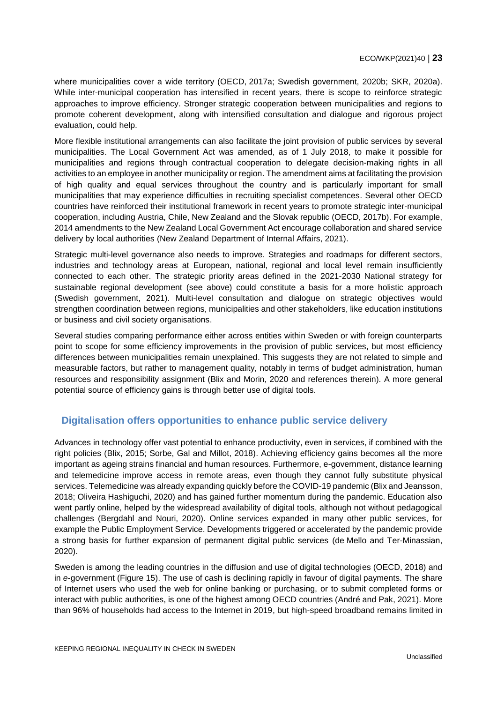where municipalities cover a wide territory (OECD, 2017a; Swedish government, 2020b; SKR, 2020a). While inter-municipal cooperation has intensified in recent years, there is scope to reinforce strategic approaches to improve efficiency. Stronger strategic cooperation between municipalities and regions to promote coherent development, along with intensified consultation and dialogue and rigorous project evaluation, could help.

More flexible institutional arrangements can also facilitate the joint provision of public services by several municipalities. The Local Government Act was amended, as of 1 July 2018, to make it possible for municipalities and regions through contractual cooperation to delegate decision-making rights in all activities to an employee in another municipality or region. The amendment aims at facilitating the provision of high quality and equal services throughout the country and is particularly important for small municipalities that may experience difficulties in recruiting specialist competences. Several other OECD countries have reinforced their institutional framework in recent years to promote strategic inter-municipal cooperation, including Austria, Chile, New Zealand and the Slovak republic (OECD, 2017b). For example, 2014 amendments to the New Zealand Local Government Act encourage collaboration and shared service delivery by local authorities (New Zealand Department of Internal Affairs, 2021).

Strategic multi-level governance also needs to improve. Strategies and roadmaps for different sectors, industries and technology areas at European, national, regional and local level remain insufficiently connected to each other. The strategic priority areas defined in the 2021-2030 National strategy for sustainable regional development (see above) could constitute a basis for a more holistic approach (Swedish government, 2021). Multi-level consultation and dialogue on strategic objectives would strengthen coordination between regions, municipalities and other stakeholders, like education institutions or business and civil society organisations.

Several studies comparing performance either across entities within Sweden or with foreign counterparts point to scope for some efficiency improvements in the provision of public services, but most efficiency differences between municipalities remain unexplained. This suggests they are not related to simple and measurable factors, but rather to management quality, notably in terms of budget administration, human resources and responsibility assignment (Blix and Morin, 2020 and references therein). A more general potential source of efficiency gains is through better use of digital tools.

## <span id="page-22-0"></span>**Digitalisation offers opportunities to enhance public service delivery**

Advances in technology offer vast potential to enhance productivity, even in services, if combined with the right policies (Blix, 2015; Sorbe, Gal and Millot, 2018). Achieving efficiency gains becomes all the more important as ageing strains financial and human resources. Furthermore, e-government, distance learning and telemedicine improve access in remote areas, even though they cannot fully substitute physical services. Telemedicine was already expanding quickly before the COVID-19 pandemic (Blix and Jeansson, 2018; Oliveira Hashiguchi, 2020) and has gained further momentum during the pandemic. Education also went partly online, helped by the widespread availability of digital tools, although not without pedagogical challenges (Bergdahl and Nouri, 2020). Online services expanded in many other public services, for example the Public Employment Service. Developments triggered or accelerated by the pandemic provide a strong basis for further expansion of permanent digital public services (de Mello and Ter-Minassian, 2020).

Sweden is among the leading countries in the diffusion and use of digital technologies (OECD, 2018) and in *e*-government [\(Figure](#page-23-0) 15). The use of cash is declining rapidly in favour of digital payments. The share of Internet users who used the web for online banking or purchasing, or to submit completed forms or interact with public authorities, is one of the highest among OECD countries (André and Pak, 2021). More than 96% of households had access to the Internet in 2019, but high-speed broadband remains limited in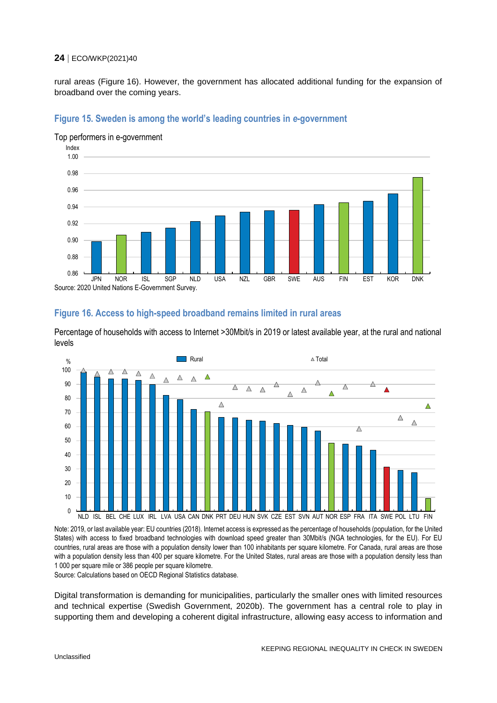rural areas [\(Figure](#page-23-1) 16). However, the government has allocated additional funding for the expansion of broadband over the coming years.



#### <span id="page-23-0"></span>**Figure 15. Sweden is among the world's leading countries in** *e***-government**

Source: 2020 United Nations E-Government Survey.

#### <span id="page-23-1"></span>**Figure 16. Access to high-speed broadband remains limited in rural areas**

Percentage of households with access to Internet >30Mbit/s in 2019 or latest available year, at the rural and national levels



Note: 2019, or last available year: EU countries (2018). Internet access is expressed as the percentage of households (population, for the United States) with access to fixed broadband technologies with download speed greater than 30Mbit/s (NGA technologies, for the EU). For EU countries, rural areas are those with a population density lower than 100 inhabitants per square kilometre. For Canada, rural areas are those with a population density less than 400 per square kilometre. For the United States, rural areas are those with a population density less than 1 000 per square mile or 386 people per square kilometre.

Source: Calculations based on OECD Regional Statistics database.

Digital transformation is demanding for municipalities, particularly the smaller ones with limited resources and technical expertise (Swedish Government, 2020b). The government has a central role to play in supporting them and developing a coherent digital infrastructure, allowing easy access to information and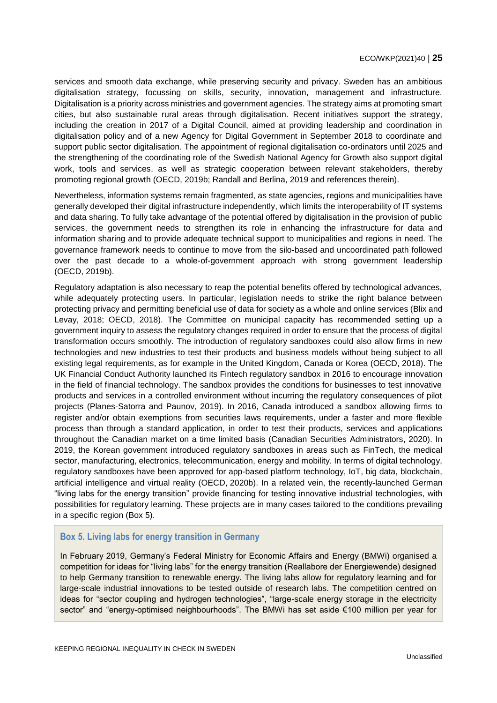services and smooth data exchange, while preserving security and privacy. Sweden has an ambitious digitalisation strategy, focussing on skills, security, innovation, management and infrastructure. Digitalisation is a priority across ministries and government agencies. The strategy aims at promoting smart cities, but also sustainable rural areas through digitalisation. Recent initiatives support the strategy, including the creation in 2017 of a Digital Council, aimed at providing leadership and coordination in digitalisation policy and of a new Agency for Digital Government in September 2018 to coordinate and support public sector digitalisation. The appointment of regional digitalisation co-ordinators until 2025 and the strengthening of the coordinating role of the Swedish National Agency for Growth also support digital work, tools and services, as well as strategic cooperation between relevant stakeholders, thereby promoting regional growth (OECD, 2019b; Randall and Berlina, 2019 and references therein).

Nevertheless, information systems remain fragmented, as state agencies, regions and municipalities have generally developed their digital infrastructure independently, which limits the interoperability of IT systems and data sharing. To fully take advantage of the potential offered by digitalisation in the provision of public services, the government needs to strengthen its role in enhancing the infrastructure for data and information sharing and to provide adequate technical support to municipalities and regions in need. The governance framework needs to continue to move from the silo-based and uncoordinated path followed over the past decade to a whole-of-government approach with strong government leadership (OECD, 2019b).

Regulatory adaptation is also necessary to reap the potential benefits offered by technological advances, while adequately protecting users. In particular, legislation needs to strike the right balance between protecting privacy and permitting beneficial use of data for society as a whole and online services (Blix and Levay, 2018; OECD, 2018). The Committee on municipal capacity has recommended setting up a government inquiry to assess the regulatory changes required in order to ensure that the process of digital transformation occurs smoothly. The introduction of regulatory sandboxes could also allow firms in new technologies and new industries to test their products and business models without being subject to all existing legal requirements, as for example in the United Kingdom, Canada or Korea (OECD, 2018). The UK Financial Conduct Authority launched its Fintech regulatory sandbox in 2016 to encourage innovation in the field of financial technology. The sandbox provides the conditions for businesses to test innovative products and services in a controlled environment without incurring the regulatory consequences of pilot projects (Planes-Satorra and Paunov, 2019). In 2016, Canada introduced a sandbox allowing firms to register and/or obtain exemptions from securities laws requirements, under a faster and more flexible process than through a standard application, in order to test their products, services and applications throughout the Canadian market on a time limited basis (Canadian Securities Administrators, 2020). In 2019, the Korean government introduced regulatory sandboxes in areas such as FinTech, the medical sector, manufacturing, electronics, telecommunication, energy and mobility. In terms of digital technology, regulatory sandboxes have been approved for app-based platform technology, IoT, big data, blockchain, artificial intelligence and virtual reality (OECD, 2020b). In a related vein, the recently-launched German "living labs for the energy transition" provide financing for testing innovative industrial technologies, with possibilities for regulatory learning. These projects are in many cases tailored to the conditions prevailing in a specific region [\(Box](#page-24-0) 5).

## <span id="page-24-0"></span>**Box 5. Living labs for energy transition in Germany**

In February 2019, Germany's Federal Ministry for Economic Affairs and Energy (BMWi) organised a competition for ideas for "living labs" for the energy transition (Reallabore der Energiewende) designed to help Germany transition to renewable energy. The living labs allow for regulatory learning and for large-scale industrial innovations to be tested outside of research labs. The competition centred on ideas for "sector coupling and hydrogen technologies", "large-scale energy storage in the electricity sector" and "energy-optimised neighbourhoods". The BMWi has set aside €100 million per year for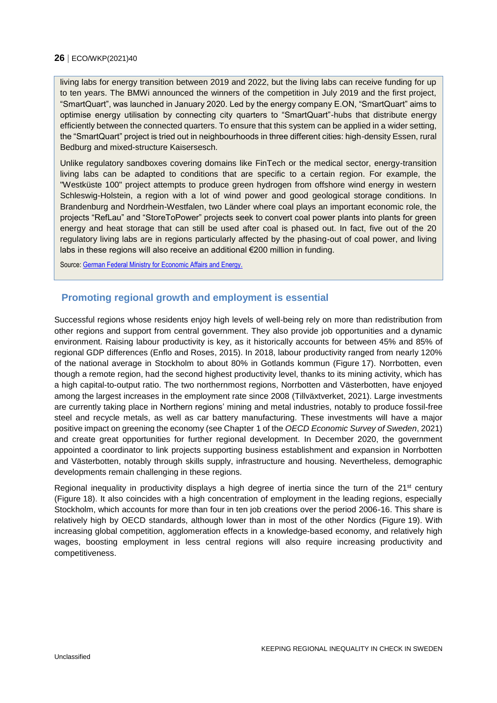living labs for energy transition between 2019 and 2022, but the living labs can receive funding for up to ten years. The BMWi announced the winners of the competition in July 2019 and the first project, "SmartQuart", was launched in January 2020. Led by the energy company E.ON, "SmartQuart" aims to optimise energy utilisation by connecting city quarters to "SmartQuart"-hubs that distribute energy efficiently between the connected quarters. To ensure that this system can be applied in a wider setting, the "SmartQuart" project is tried out in neighbourhoods in three different cities: high-density Essen, rural Bedburg and mixed-structure Kaisersesch.

Unlike regulatory sandboxes covering domains like FinTech or the medical sector, energy-transition living labs can be adapted to conditions that are specific to a certain region. For example, the "Westküste 100" project attempts to produce green hydrogen from offshore wind energy in western Schleswig-Holstein, a region with a lot of wind power and good geological storage conditions. In Brandenburg and Nordrhein-Westfalen, two Länder where coal plays an important economic role, the projects "RefLau" and "StoreToPower" projects seek to convert coal power plants into plants for green energy and heat storage that can still be used after coal is phased out. In fact, five out of the 20 regulatory living labs are in regions particularly affected by the phasing-out of coal power, and living labs in these regions will also receive an additional €200 million in funding.

Source[: German Federal Ministry for Economic Affairs and Energy.](https://www.bmwi.de/Navigation/EN/Home/home.html)

## <span id="page-25-0"></span>**Promoting regional growth and employment is essential**

Successful regions whose residents enjoy high levels of well-being rely on more than redistribution from other regions and support from central government. They also provide job opportunities and a dynamic environment. Raising labour productivity is key, as it historically accounts for between 45% and 85% of regional GDP differences (Enflo and Roses, 2015). In 2018, labour productivity ranged from nearly 120% of the national average in Stockholm to about 80% in Gotlands kommun [\(Figure](#page-26-0) 17). Norrbotten, even though a remote region, had the second highest productivity level, thanks to its mining activity, which has a high capital-to-output ratio. The two northernmost regions, Norrbotten and Västerbotten, have enjoyed among the largest increases in the employment rate since 2008 (Tillväxtverket, 2021). Large investments are currently taking place in Northern regions' mining and metal industries, notably to produce fossil-free steel and recycle metals, as well as car battery manufacturing. These investments will have a major positive impact on greening the economy (see Chapter 1 of the *OECD Economic Survey of Sweden*, 2021) and create great opportunities for further regional development. In December 2020, the government appointed a coordinator to link projects supporting business establishment and expansion in Norrbotten and Västerbotten, notably through skills supply, infrastructure and housing. Nevertheless, demographic developments remain challenging in these regions.

Regional inequality in productivity displays a high degree of inertia since the turn of the 21<sup>st</sup> century [\(Figure](#page-26-1) 18). It also coincides with a high concentration of employment in the leading regions, especially Stockholm, which accounts for more than four in ten job creations over the period 2006-16. This share is relatively high by OECD standards, although lower than in most of the other Nordics [\(Figure](#page-27-0) 19). With increasing global competition, agglomeration effects in a knowledge-based economy, and relatively high wages, boosting employment in less central regions will also require increasing productivity and competitiveness.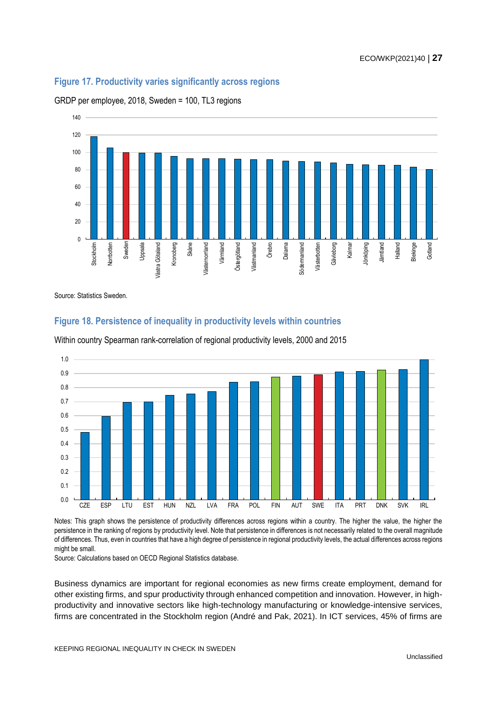## <span id="page-26-0"></span>**Figure 17. Productivity varies significantly across regions**





Source: Statistics Sweden.

## <span id="page-26-1"></span>**Figure 18. Persistence of inequality in productivity levels within countries**



Within country Spearman rank-correlation of regional productivity levels, 2000 and 2015

Notes: This graph shows the persistence of productivity differences across regions within a country. The higher the value, the higher the persistence in the ranking of regions by productivity level. Note that persistence in differences is not necessarily related to the overall magnitude of differences. Thus, even in countries that have a high degree of persistence in regional productivity levels, the actual differences across regions might be small.

Source: Calculations based on OECD Regional Statistics database.

Business dynamics are important for regional economies as new firms create employment, demand for other existing firms, and spur productivity through enhanced competition and innovation. However, in highproductivity and innovative sectors like high-technology manufacturing or knowledge-intensive services, firms are concentrated in the Stockholm region (André and Pak, 2021). In ICT services, 45% of firms are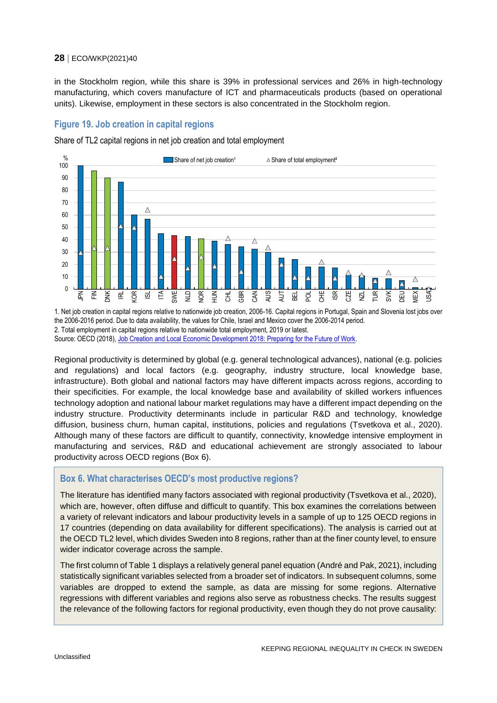in the Stockholm region, while this share is 39% in professional services and 26% in high-technology manufacturing, which covers manufacture of ICT and pharmaceuticals products (based on operational units). Likewise, employment in these sectors is also concentrated in the Stockholm region.

## <span id="page-27-0"></span>**Figure 19. Job creation in capital regions**

Share of TL2 capital regions in net job creation and total employment



1. Net job creation in capital regions relative to nationwide job creation, 2006-16. Capital regions in Portugal, Spain and Slovenia lost jobs over the 2006-2016 period. Due to data availability, the values for Chile, Israel and Mexico cover the 2006-2014 period. 2. Total employment in capital regions relative to nationwide total employment, 2019 or latest. Source: OECD (2018), [Job Creation and Local Economic Development 2018:](https://dx.doi.org/10.1787/9789264305342-en) Preparing for the Future of Work.

Regional productivity is determined by global (e.g. general technological advances), national (e.g. policies and regulations) and local factors (e.g. geography, industry structure, local knowledge base, infrastructure). Both global and national factors may have different impacts across regions, according to their specificities. For example, the local knowledge base and availability of skilled workers influences technology adoption and national labour market regulations may have a different impact depending on the industry structure. Productivity determinants include in particular R&D and technology, knowledge diffusion, business churn, human capital, institutions, policies and regulations (Tsvetkova et al., 2020). Although many of these factors are difficult to quantify, connectivity, knowledge intensive employment in manufacturing and services, R&D and educational achievement are strongly associated to labour productivity across OECD regions [\(Box](#page-27-1) 6).

## <span id="page-27-1"></span>**Box 6. What characterises OECD's most productive regions?**

The literature has identified many factors associated with regional productivity (Tsvetkova et al., 2020), which are, however, often diffuse and difficult to quantify. This box examines the correlations between a variety of relevant indicators and labour productivity levels in a sample of up to 125 OECD regions in 17 countries (depending on data availability for different specifications). The analysis is carried out at the OECD TL2 level, which divides Sweden into 8 regions, rather than at the finer county level, to ensure wider indicator coverage across the sample.

The first column o[f Table](#page-28-0) 1 displays a relatively general panel equation (André and Pak, 2021), including statistically significant variables selected from a broader set of indicators. In subsequent columns, some variables are dropped to extend the sample, as data are missing for some regions. Alternative regressions with different variables and regions also serve as robustness checks. The results suggest the relevance of the following factors for regional productivity, even though they do not prove causality: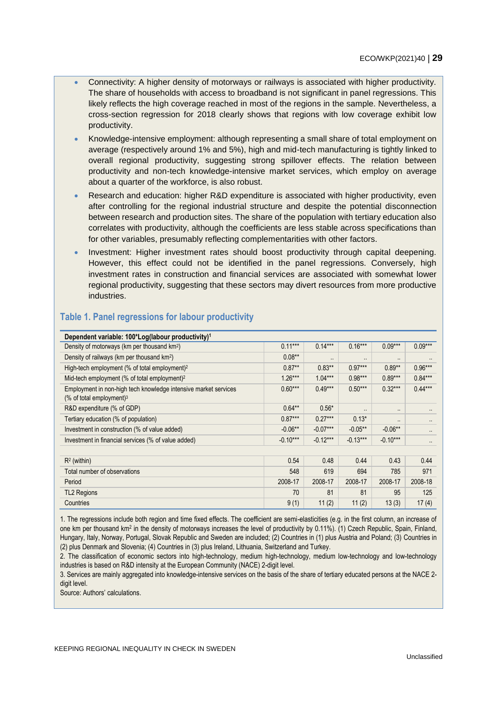- Connectivity: A higher density of motorways or railways is associated with higher productivity. The share of households with access to broadband is not significant in panel regressions. This likely reflects the high coverage reached in most of the regions in the sample. Nevertheless, a cross-section regression for 2018 clearly shows that regions with low coverage exhibit low productivity.
- Knowledge-intensive employment: although representing a small share of total employment on average (respectively around 1% and 5%), high and mid-tech manufacturing is tightly linked to overall regional productivity, suggesting strong spillover effects. The relation between productivity and non-tech knowledge-intensive market services, which employ on average about a quarter of the workforce, is also robust.
- Research and education: higher R&D expenditure is associated with higher productivity, even after controlling for the regional industrial structure and despite the potential disconnection between research and production sites. The share of the population with tertiary education also correlates with productivity, although the coefficients are less stable across specifications than for other variables, presumably reflecting complementarities with other factors.
- Investment: Higher investment rates should boost productivity through capital deepening. However, this effect could not be identified in the panel regressions. Conversely, high investment rates in construction and financial services are associated with somewhat lower regional productivity, suggesting that these sectors may divert resources from more productive industries.

| Dependent variable: 100*Log(labour productivity) <sup>1</sup>                                            |            |            |            |            |           |
|----------------------------------------------------------------------------------------------------------|------------|------------|------------|------------|-----------|
| Density of motorways (km per thousand km <sup>2</sup> )                                                  | $0.11***$  | $0.14***$  | $0.16***$  | $0.09***$  | $0.09***$ |
| Density of railways (km per thousand km <sup>2</sup> )                                                   | $0.08***$  |            |            |            |           |
| High-tech employment (% of total employment) <sup>2</sup>                                                | $0.87**$   | $0.83**$   | $0.97***$  | $0.89**$   | $0.96***$ |
| Mid-tech employment (% of total employment) <sup>2</sup>                                                 | $1.26***$  | $1.04***$  | $0.98***$  | $0.89***$  | $0.84***$ |
| Employment in non-high tech knowledge intensive market services<br>$%$ of total employment) <sup>3</sup> | $0.60***$  | $0.49***$  | $0.50***$  | $0.32***$  | $0.44***$ |
| R&D expenditure (% of GDP)                                                                               | $0.64**$   | $0.56*$    | ٠.         |            | $\cdot$ . |
| Tertiary education (% of population)                                                                     | $0.87***$  | $0.27***$  | $0.13*$    |            | $\cdot$ . |
| Investment in construction (% of value added)                                                            | $-0.06**$  | $-0.07***$ | $-0.05***$ | $-0.06**$  | ٠.        |
| Investment in financial services (% of value added)                                                      | $-0.10***$ | $-0.12***$ | $-0.13***$ | $-0.10***$ | $\cdot$ . |
|                                                                                                          |            |            |            |            |           |
| $R2$ (within)                                                                                            | 0.54       | 0.48       | 0.44       | 0.43       | 0.44      |
| Total number of observations                                                                             | 548        | 619        | 694        | 785        | 971       |
| Period                                                                                                   | 2008-17    | 2008-17    | 2008-17    | 2008-17    | 2008-18   |
| <b>TL2 Regions</b>                                                                                       | 70         | 81         | 81         | 95         | 125       |
| Countries                                                                                                | 9(1)       | 11(2)      | 11(2)      | 13(3)      | 17(4)     |

## <span id="page-28-0"></span>**Table 1. Panel regressions for labour productivity**

1. The regressions include both region and time fixed effects. The coefficient are semi-elasticities (e.g. in the first column, an increase of one km per thousand km<sup>2</sup> in the density of motorways increases the level of productivity by 0.11%). (1) Czech Republic, Spain, Finland, Hungary, Italy, Norway, Portugal, Slovak Republic and Sweden are included; (2) Countries in (1) plus Austria and Poland; (3) Countries in (2) plus Denmark and Slovenia; (4) Countries in (3) plus Ireland, Lithuania, Switzerland and Turkey.

2. The classification of economic sectors into high-technology, medium high-technology, medium low-technology and low-technology industries is based on R&D intensity at the European Community (NACE) 2-digit level.

3. Services are mainly aggregated into knowledge-intensive services on the basis of the share of tertiary educated persons at the NACE 2 digit level.

Source: Authors' calculations.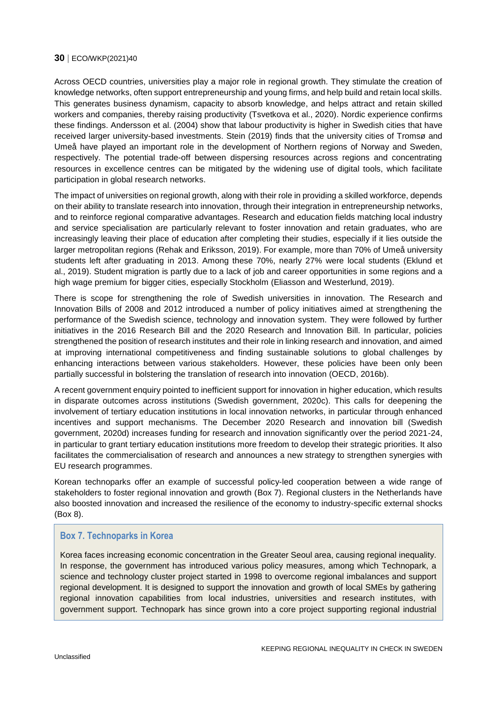Across OECD countries, universities play a major role in regional growth. They stimulate the creation of knowledge networks, often support entrepreneurship and young firms, and help build and retain local skills. This generates business dynamism, capacity to absorb knowledge, and helps attract and retain skilled workers and companies, thereby raising productivity (Tsvetkova et al., 2020). Nordic experience confirms these findings. Andersson et al. (2004) show that labour productivity is higher in Swedish cities that have received larger university-based investments. Stein (2019) finds that the university cities of Tromsø and Umeå have played an important role in the development of Northern regions of Norway and Sweden, respectively. The potential trade-off between dispersing resources across regions and concentrating resources in excellence centres can be mitigated by the widening use of digital tools, which facilitate participation in global research networks.

The impact of universities on regional growth, along with their role in providing a skilled workforce, depends on their ability to translate research into innovation, through their integration in entrepreneurship networks, and to reinforce regional comparative advantages. Research and education fields matching local industry and service specialisation are particularly relevant to foster innovation and retain graduates, who are increasingly leaving their place of education after completing their studies, especially if it lies outside the larger metropolitan regions (Rehak and Eriksson, 2019). For example, more than 70% of Umeå university students left after graduating in 2013. Among these 70%, nearly 27% were local students (Eklund et al., 2019). Student migration is partly due to a lack of job and career opportunities in some regions and a high wage premium for bigger cities, especially Stockholm (Eliasson and Westerlund, 2019).

There is scope for strengthening the role of Swedish universities in innovation. The Research and Innovation Bills of 2008 and 2012 introduced a number of policy initiatives aimed at strengthening the performance of the Swedish science, technology and innovation system. They were followed by further initiatives in the 2016 Research Bill and the 2020 Research and Innovation Bill. In particular, policies strengthened the position of research institutes and their role in linking research and innovation, and aimed at improving international competitiveness and finding sustainable solutions to global challenges by enhancing interactions between various stakeholders. However, these policies have been only been partially successful in bolstering the translation of research into innovation (OECD, 2016b).

A recent government enquiry pointed to inefficient support for innovation in higher education, which results in disparate outcomes across institutions (Swedish government, 2020c). This calls for deepening the involvement of tertiary education institutions in local innovation networks, in particular through enhanced incentives and support mechanisms. The December 2020 Research and innovation bill (Swedish government, 2020d) increases funding for research and innovation significantly over the period 2021-24, in particular to grant tertiary education institutions more freedom to develop their strategic priorities. It also facilitates the commercialisation of research and announces a new strategy to strengthen synergies with EU research programmes.

Korean technoparks offer an example of successful policy-led cooperation between a wide range of stakeholders to foster regional innovation and growth [\(Box](#page-29-0) 7). Regional clusters in the Netherlands have also boosted innovation and increased the resilience of the economy to industry-specific external shocks [\(Box](#page-30-0) 8).

#### <span id="page-29-0"></span>**Box 7. Technoparks in Korea**

Korea faces increasing economic concentration in the Greater Seoul area, causing regional inequality. In response, the government has introduced various policy measures, among which Technopark, a science and technology cluster project started in 1998 to overcome regional imbalances and support regional development. It is designed to support the innovation and growth of local SMEs by gathering regional innovation capabilities from local industries, universities and research institutes, with government support. Technopark has since grown into a core project supporting regional industrial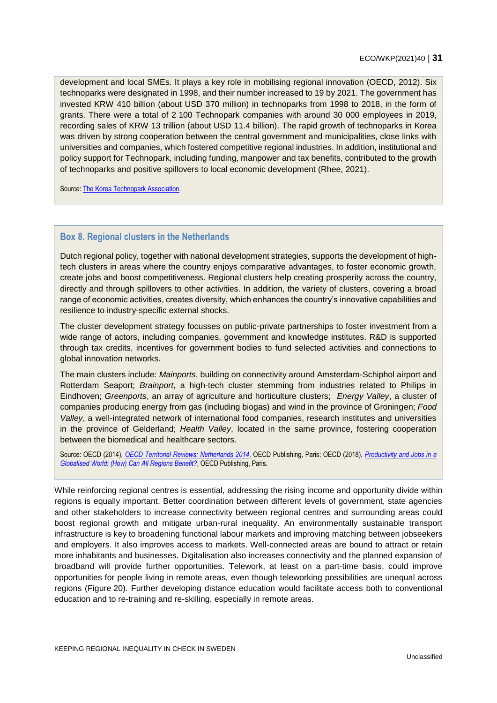development and local SMEs. It plays a key role in mobilising regional innovation (OECD, 2012). Six technoparks were designated in 1998, and their number increased to 19 by 2021. The government has invested KRW 410 billion (about USD 370 million) in technoparks from 1998 to 2018, in the form of grants. There were a total of 2 100 Technopark companies with around 30 000 employees in 2019, recording sales of KRW 13 trillion (about USD 11.4 billion). The rapid growth of technoparks in Korea was driven by strong cooperation between the central government and municipalities, close links with universities and companies, which fostered competitive regional industries. In addition, institutional and policy support for Technopark, including funding, manpower and tax benefits, contributed to the growth of technoparks and positive spillovers to local economic development (Rhee, 2021).

Source[: The Korea Technopark Association.](http://www.technopark.kr/)

## <span id="page-30-0"></span>**Box 8. Regional clusters in the Netherlands**

Dutch regional policy, together with national development strategies, supports the development of hightech clusters in areas where the country enjoys comparative advantages, to foster economic growth, create jobs and boost competitiveness. Regional clusters help creating prosperity across the country, directly and through spillovers to other activities. In addition, the variety of clusters, covering a broad range of economic activities, creates diversity, which enhances the country's innovative capabilities and resilience to industry-specific external shocks.

The cluster development strategy focusses on public-private partnerships to foster investment from a wide range of actors, including companies, government and knowledge institutes. R&D is supported through tax credits, incentives for government bodies to fund selected activities and connections to global innovation networks.

The main clusters include: *Mainports*, building on connectivity around Amsterdam-Schiphol airport and Rotterdam Seaport; *Brainport*, a high-tech cluster stemming from industries related to Philips in Eindhoven; *Greenports*, an array of agriculture and horticulture clusters; *Energy Valley*, a cluster of companies producing energy from gas (including biogas) and wind in the province of Groningen; *Food Valley*, a well-integrated network of international food companies, research institutes and universities in the province of Gelderland; *Health Valley*, located in the same province, fostering cooperation between the biomedical and healthcare sectors.

Source: OECD (2014), *[OECD Territorial Reviews: Netherlands 2014](http://dx.doi.org/10.1787/9789264209527-en)*, OECD Publishing, Paris; OECD (2018), *[Productivity and Jobs in a](http://dx.doi.org/10.1787/9789264293137-en)  [Globalised World: \(How\) Can All Regions Benefit?](http://dx.doi.org/10.1787/9789264293137-en)*, OECD Publishing, Paris.

While reinforcing regional centres is essential, addressing the rising income and opportunity divide within regions is equally important. Better coordination between different levels of government, state agencies and other stakeholders to increase connectivity between regional centres and surrounding areas could boost regional growth and mitigate urban-rural inequality. An environmentally sustainable transport infrastructure is key to broadening functional labour markets and improving matching between jobseekers and employers. It also improves access to markets. Well-connected areas are bound to attract or retain more inhabitants and businesses. Digitalisation also increases connectivity and the planned expansion of broadband will provide further opportunities. Telework, at least on a part-time basis, could improve opportunities for people living in remote areas, even though teleworking possibilities are unequal across regions [\(Figure](#page-31-0) 20). Further developing distance education would facilitate access both to conventional education and to re-training and re-skilling, especially in remote areas.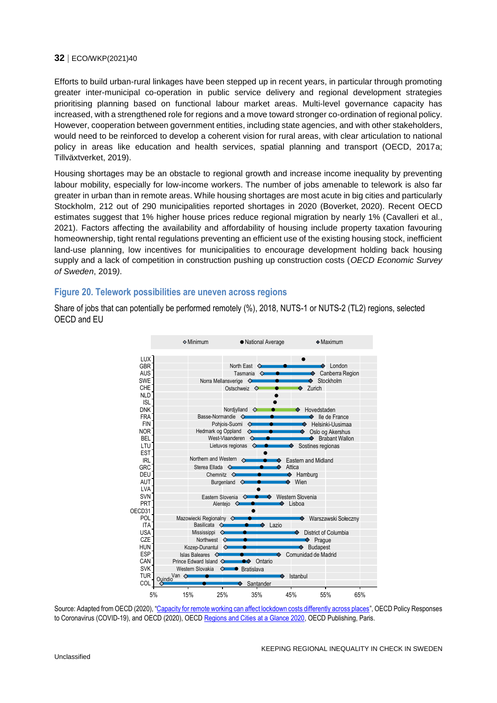Efforts to build urban-rural linkages have been stepped up in recent years, in particular through promoting greater inter-municipal co-operation in public service delivery and regional development strategies prioritising planning based on functional labour market areas. Multi-level governance capacity has increased, with a strengthened role for regions and a move toward stronger co-ordination of regional policy. However, cooperation between government entities, including state agencies, and with other stakeholders, would need to be reinforced to develop a coherent vision for rural areas, with clear articulation to national policy in areas like education and health services, spatial planning and transport (OECD, 2017a; Tillväxtverket, 2019).

Housing shortages may be an obstacle to regional growth and increase income inequality by preventing labour mobility, especially for low-income workers. The number of jobs amenable to telework is also far greater in urban than in remote areas. While housing shortages are most acute in big cities and particularly Stockholm, 212 out of 290 municipalities reported shortages in 2020 (Boverket, 2020). Recent OECD estimates suggest that 1% higher house prices reduce regional migration by nearly 1% (Cavalleri et al., 2021). Factors affecting the availability and affordability of housing include property taxation favouring homeownership, tight rental regulations preventing an efficient use of the existing housing stock, inefficient land-use planning, low incentives for municipalities to encourage development holding back housing supply and a lack of competition in construction pushing up construction costs (*OECD Economic Survey of Sweden*, 2019*)*.

#### <span id="page-31-0"></span>**Figure 20. Telework possibilities are uneven across regions**

Share of jobs that can potentially be performed remotely (%), 2018, NUTS-1 or NUTS-2 (TL2) regions, selected OECD and EU



Source: Adapted from OECD (2020), "[Capacity for remote working can affect lockdown costs differently across places](http://www.oecd.org/coronavirus/policy-responses/capacity-for-remote-working-can-affect-lockdown-costs-differently-across-places-0e85740e/)", OECD Policy Responses to Coronavirus (COVID-19), and OECD (2020), OECD [Regions and Cities at a Glance 2020,](https://dx.doi.org/10.1787/959d5ba0-en) OECD Publishing, Paris.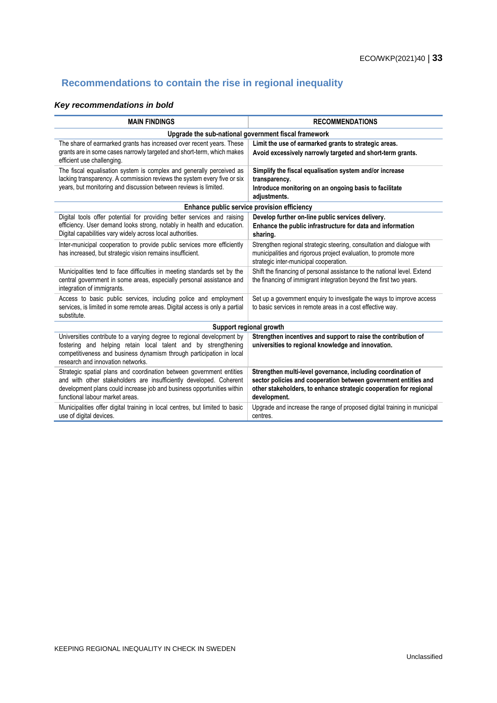## <span id="page-32-0"></span>**Recommendations to contain the rise in regional inequality**

## *Key recommendations in bold*

| <b>MAIN FINDINGS</b>                                                                                                                                                                                                                                    | <b>RECOMMENDATIONS</b>                                                                                                                                                                                               |  |  |  |  |
|---------------------------------------------------------------------------------------------------------------------------------------------------------------------------------------------------------------------------------------------------------|----------------------------------------------------------------------------------------------------------------------------------------------------------------------------------------------------------------------|--|--|--|--|
| Upgrade the sub-national government fiscal framework                                                                                                                                                                                                    |                                                                                                                                                                                                                      |  |  |  |  |
| The share of earmarked grants has increased over recent years. These<br>grants are in some cases narrowly targeted and short-term, which makes<br>efficient use challenging.                                                                            | Limit the use of earmarked grants to strategic areas.<br>Avoid excessively narrowly targeted and short-term grants.                                                                                                  |  |  |  |  |
| The fiscal equalisation system is complex and generally perceived as<br>lacking transparency. A commission reviews the system every five or six<br>years, but monitoring and discussion between reviews is limited.                                     | Simplify the fiscal equalisation system and/or increase<br>transparency.<br>Introduce monitoring on an ongoing basis to facilitate<br>adjustments.                                                                   |  |  |  |  |
| Enhance public service provision efficiency                                                                                                                                                                                                             |                                                                                                                                                                                                                      |  |  |  |  |
| Digital tools offer potential for providing better services and raising<br>efficiency. User demand looks strong, notably in health and education.<br>Digital capabilities vary widely across local authorities.                                         | Develop further on-line public services delivery.<br>Enhance the public infrastructure for data and information<br>sharing.                                                                                          |  |  |  |  |
| Inter-municipal cooperation to provide public services more efficiently<br>has increased, but strategic vision remains insufficient.                                                                                                                    | Strengthen regional strategic steering, consultation and dialogue with<br>municipalities and rigorous project evaluation, to promote more<br>strategic inter-municipal cooperation.                                  |  |  |  |  |
| Municipalities tend to face difficulties in meeting standards set by the<br>central government in some areas, especially personal assistance and<br>integration of immigrants.                                                                          | Shift the financing of personal assistance to the national level. Extend<br>the financing of immigrant integration beyond the first two years.                                                                       |  |  |  |  |
| Access to basic public services, including police and employment<br>services, is limited in some remote areas. Digital access is only a partial<br>substitute.                                                                                          | Set up a government enquiry to investigate the ways to improve access<br>to basic services in remote areas in a cost effective way.                                                                                  |  |  |  |  |
| Support regional growth                                                                                                                                                                                                                                 |                                                                                                                                                                                                                      |  |  |  |  |
| Universities contribute to a varying degree to regional development by<br>fostering and helping retain local talent and by strengthening<br>competitiveness and business dynamism through participation in local<br>research and innovation networks.   | Strengthen incentives and support to raise the contribution of<br>universities to regional knowledge and innovation.                                                                                                 |  |  |  |  |
| Strategic spatial plans and coordination between government entities<br>and with other stakeholders are insufficiently developed. Coherent<br>development plans could increase job and business opportunities within<br>functional labour market areas. | Strengthen multi-level governance, including coordination of<br>sector policies and cooperation between government entities and<br>other stakeholders, to enhance strategic cooperation for regional<br>development. |  |  |  |  |
| Municipalities offer digital training in local centres, but limited to basic<br>use of digital devices.                                                                                                                                                 | Upgrade and increase the range of proposed digital training in municipal<br>centres.                                                                                                                                 |  |  |  |  |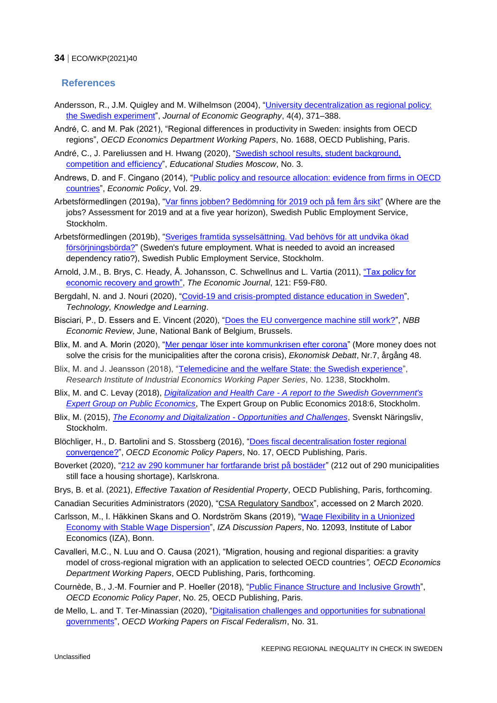## <span id="page-33-0"></span>**References**

- Andersson, R., J.M. Quigley and M. Wilhelmson (2004), "University decentralization as regional policy: [the Swedish experiment"](https://doi.org/10.1093/jnlecg/lbh031), *Journal of Economic Geography*, 4(4), 371–388.
- André, C. and M. Pak (2021), "Regional differences in productivity in Sweden: insights from OECD regions", *OECD Economics Department Working Papers*, No. 1688, OECD Publishing, Paris.
- André, C., J. Pareliussen and H. Hwang (2020), ["Swedish school results, student background,](https://vo.hse.ru/en/2020--3/399551163.html)  [competition and efficiency"](https://vo.hse.ru/en/2020--3/399551163.html), *Educational Studies Moscow*, No. 3.
- Andrews, D. and F. Cingano (2014), "Public policy and resource allocation: evidence from firms in OECD [countries"](https://doi.org/10.1111/1468-0327.12028), *Economic Policy*, Vol. 29.
- Arbetsförmedlingen (2019a), ["Var finns jobben? Bedömning för 2019 och på fem års sikt"](https://arbetsformedlingen.se/statistik/analyser-och-prognoser/arbetsmarknadsprognoser/riket/var-finns-jobben-2019) (Where are the jobs? Assessment for 2019 and at a five year horizon), Swedish Public Employment Service, Stockholm.
- Arbetsförmedlingen (2019b), ["Sveriges framtida sysselsättning. Vad behövs för att undvika ökad](https://arbetsformedlingen.se/download/18.4fb667a1169bfd2c0a69972/1556093328704/rapport-sveriges-framtida-sysselsattning-+2019-03-20.pdf)  [försörjningsbörda?"](https://arbetsformedlingen.se/download/18.4fb667a1169bfd2c0a69972/1556093328704/rapport-sveriges-framtida-sysselsattning-+2019-03-20.pdf) (Sweden's future employment. What is needed to avoid an increased dependency ratio?), Swedish Public Employment Service, Stockholm.
- Arnold, J.M., B. Brys, C. Heady, Å. Johansson, C. Schwellnus and L. Vartia (2011), ["Tax policy for](https://doi.org/10.1111/j.1468-0297.2010.02415.x)  [economic recovery and growth",](https://doi.org/10.1111/j.1468-0297.2010.02415.x) *The Economic Journal*, 121: F59-F80.
- Bergdahl, N. and J. Nouri (2020), ["Covid-19 and crisis-prompted distance education in Sweden"](https://doi.org/10.1007/s10758-020-09470-6), *Technology, Knowledge and Learning*.
- Bisciari, P., D. Essers and E. Vincent (2020), ["Does the EU convergence machine still work?"](https://www.nbb.be/en/articles/does-eu-convergence-machine-still-work-0), *NBB Economic Review*, June, National Bank of Belgium, Brussels.
- Blix, M. and A. Morin (2020), ["Mer pengar löser inte kommunkrisen efter corona"](https://www.nationalekonomi.se/sites/default/files/2020/11/48-7-mbam.pdf) (More money does not solve the crisis for the municipalities after the corona crisis), *Ekonomisk Debatt*, Nr.7, årgång 48.
- Blix, M. and J. Jeansson (2018), ["Telemedicine and the welfare State: the Swedish experience"](https://www.ifn.se/wfiles/wp/wp1238.pdf), *Research Institute of Industrial Economics Working Paper Series*, No. 1238, Stockholm.
- Blix, M. and C. Levay (2018), *Digitalization and Health Care - [A report to the Swedish Government's](https://eso.expertgrupp.se/wp-content/uploads/2019/08/Digitalization-and-health-care-2018_6-English-version.pdf)  [Expert Group on Public Economics](https://eso.expertgrupp.se/wp-content/uploads/2019/08/Digitalization-and-health-care-2018_6-English-version.pdf)*, The Expert Group on Public Economics 2018:6, Stockholm.
- Blix, M. (2015), *[The Economy and Digitalization -](https://www.martenblix.com/uploads/6/2/7/2/62723607/blix_digitalization_report_20160204.pdf) Opportunities and Challenges*, Svenskt Näringsliv, Stockholm.
- Blöchliger, H., D. Bartolini and S. Stossberg (2016), ["Does fiscal decentralisation foster regional](https://doi.org/10.1787/5jlr3c1vcqmr-en)  [convergence?"](https://doi.org/10.1787/5jlr3c1vcqmr-en), *OECD Economic Policy Papers*, No. 17, OECD Publishing, Paris.
- Boverket (2020), ["212 av 290 kommuner har fortfarande brist på bostäder"](https://www.boverket.se/sv/om-boverket/publicerat-av-boverket/nyheter/212-av-290-kommuner-har-fortfarande-brist-pa-bostader/) (212 out of 290 municipalities still face a housing shortage), Karlskrona.
- Brys, B. et al. (2021), *Effective Taxation of Residential Property*, OECD Publishing, Paris, forthcoming.
- Canadian Securities Administrators (2020), ["CSA Regulatory Sandbox"](https://www.securities-administrators.ca/industry_resources.aspx?id=1588), accessed on 2 March 2020.
- Carlsson, M., I. Häkkinen Skans and O. Nordström Skans (2019), ["Wage Flexibility in a Unionized](https://www.iza.org/publications/dp/12093/wage-flexibility-in-a-unionized-economy-with-stable-wage-dispersion)  [Economy with Stable Wage Dispersion"](https://www.iza.org/publications/dp/12093/wage-flexibility-in-a-unionized-economy-with-stable-wage-dispersion), *IZA Discussion Papers*, No. 12093, Institute of Labor Economics (IZA), Bonn.
- Cavalleri, M.C., N. Luu and O. Causa (2021), "Migration, housing and regional disparities: a gravity model of cross-regional migration with an application to selected OECD countries*", OECD Economics Department Working Papers*, OECD Publishing, Paris, forthcoming.
- Cournède, B., J.-M. Fournier and P. Hoeller (2018), ["Public Finance Structure and Inclusive Growth"](https://ideas.repec.org/p/oec/ecoaab/25-en.html), *OECD Economic Policy Paper*, No. 25, OECD Publishing, Paris.
- de Mello, L. and T. Ter-Minassian (2020), ["Digitalisation challenges and opportunities for subnational](https://doi.org/10.1787/9582594a-en)  [governments"](https://doi.org/10.1787/9582594a-en), *OECD Working Papers on Fiscal Federalism*, No. 31.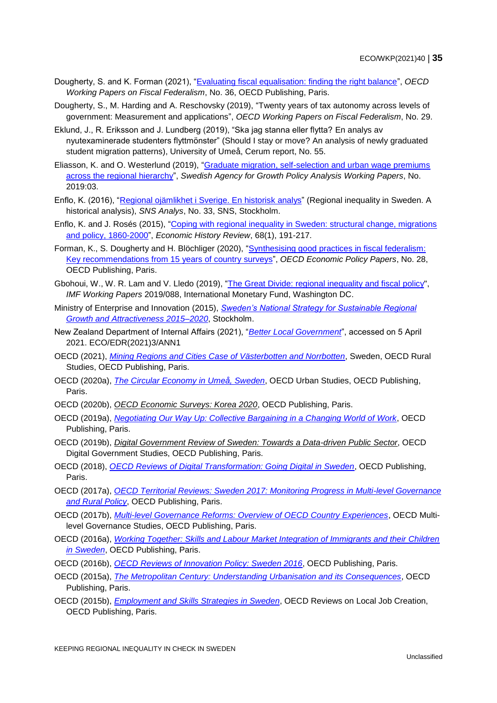- Dougherty, S. and K. Forman (2021), ["Evaluating fiscal equalisation: finding the right balance"](https://doi.org/10.1787/253da2b8-en), *OECD Working Papers on Fiscal Federalism*, No. 36, OECD Publishing, Paris.
- Dougherty, S., M. Harding and A. Reschovsky (2019), "Twenty years of tax autonomy across levels of government: Measurement and applications", *OECD Working Papers on Fiscal Federalism*, No. 29.
- Eklund, J., R. Eriksson and J. Lundberg (2019), "Ska jag stanna eller flytta? En analys av nyutexaminerade studenters flyttmönster" (Should I stay or move? An analysis of newly graduated student migration patterns), University of Umeå, Cerum report, No. 55.
- Eliasson, K. and O. Westerlund (2019), ["Graduate migration, self-selection and urban wage premiums](https://www.tillvaxtanalys.se/in-english/publications/wp/wp/2019-04-25-graduate-migration-self-selection-and-urban-wage-premiums-across-the-regional-hierarchy.html)  [across the regional hierarchy"](https://www.tillvaxtanalys.se/in-english/publications/wp/wp/2019-04-25-graduate-migration-self-selection-and-urban-wage-premiums-across-the-regional-hierarchy.html), *Swedish Agency for Growth Policy Analysis Working Papers*, No. 2019:03.
- Enflo, K. (2016), ["Regional ojämlikhet i Sverige. En historisk analys"](https://www.sns.se/artiklar/sns-analys-nr-33-regional-ojamlikhet-i-sverige-en-historisk-analys/) (Regional inequality in Sweden. A historical analysis), *SNS Analys*, No. 33, SNS, Stockholm.
- Enflo, K. and J. Rosés (2015), ["Coping with regional inequality in Sweden: structural change, migrations](https://doi.org/10.1111/1468-0289.12049)  [and policy, 1860-2000"](https://doi.org/10.1111/1468-0289.12049), *Economic History Review*, 68(1), 191-217.
- Forman, K., S. Dougherty and H. Blöchliger (2020), "Synthesising good practices in fiscal federalism: [Key recommendations from 15 years of country](https://doi.org/10.1787/89cd0319-en) surveys", *OECD Economic Policy Papers*, No. 28, OECD Publishing, Paris.
- Gbohoui, W., W. R. Lam and V. Lledo (2019), ["The Great Divide: regional inequality and fiscal policy"](http://www.imf.org/external/pubs/cat/longres.aspx?sk=46745), *IMF Working Papers* 2019/088, International Monetary Fund, Washington DC.
- Ministry of Enterprise and Innovation (2015), *[Sweden's National Strategy for Sustainable Regional](https://www.government.se/contentassets/ad5c71e83be543f59348b54652a0aa4e/swedens-national-strategy-for-sustainable-regional-growth-and-attractiveness-20152020---short-version.pdf)  [Growth and Attractiveness 2015–2020](https://www.government.se/contentassets/ad5c71e83be543f59348b54652a0aa4e/swedens-national-strategy-for-sustainable-regional-growth-and-attractiveness-20152020---short-version.pdf)*, Stockholm.
- New Zealand Department of Internal Affairs (2021), "*[Better Local Government](https://www.dia.govt.nz/Better-Local-Government)*", accessed on 5 April 2021. ECO/EDR(2021)3/ANN1
- OECD (2021), *[Mining Regions and Cities Case of Västerbotten and Norrbotten](https://doi.org/10.1787/802087e2-en)*, Sweden, OECD Rural Studies, OECD Publishing, Paris.
- OECD (2020a), *[The Circular Economy in Umeå, Sweden](https://doi.org/10.1787/4ec5dbcd-en)*, OECD Urban Studies, OECD Publishing, Paris.
- OECD (2020b), *[OECD Economic Surveys: Korea 2020](https://doi.org/10.1787/2dde9480-en)*, OECD Publishing, Paris.
- OECD (2019a), *[Negotiating Our Way Up: Collective Bargaining in a Changing World of Work](https://doi.org/10.1787/1fd2da34-en)*, OECD Publishing, Paris.
- OECD (2019b), *[Digital Government Review of Sweden: Towards a Data-driven Public Sector](https://doi.org/10.1787/4daf932b-en)*, OECD Digital Government Studies, OECD Publishing, Paris.
- OECD (2018), *[OECD Reviews of Digital Transformation: Going Digital in Sweden](http://dx.doi.org/10.1787/9789264302259-en)*, OECD Publishing, Paris.
- OECD (2017a), *[OECD Territorial Reviews: Sweden 2017: Monitoring Progress in Multi-level Governance](http://dx.doi.org/10.1787/9789264268883-en)  [and Rural Policy](http://dx.doi.org/10.1787/9789264268883-en)*, OECD Publishing, Paris.
- OECD (2017b), *[Multi-level Governance Reforms: Overview of OECD Country Experiences](http://dx.doi.org/10.1787/9789264272866-en)*, OECD Multilevel Governance Studies, OECD Publishing, Paris.
- OECD (2016a), *[Working Together: Skills and Labour Market Integration of Immigrants and their Children](http://dx.doi.org/10.1787/9789264257382-en)  [in Sweden](http://dx.doi.org/10.1787/9789264257382-en)*, OECD Publishing, Paris.
- OECD (2016b), *[OECD Reviews of Innovation Policy: Sweden 2016](http://dx.doi.org/10.1787/9789264249998-en)*, OECD Publishing, Paris.
- OECD (2015a), *[The Metropolitan Century: Understanding Urbanisation and its Consequences](http://dx.doi.org/10.1787/9789264228733-en)*, OECD Publishing, Paris.
- OECD (2015b), *[Employment and Skills Strategies in Sweden](http://dx.doi.org/10.1787/9789264228641-en)*, OECD Reviews on Local Job Creation, OECD Publishing, Paris.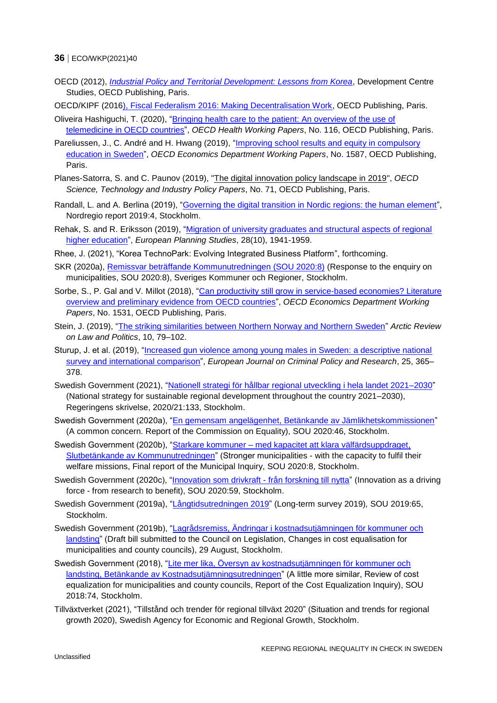- OECD (2012), *[Industrial Policy and Territorial Development: Lessons from Korea](https://doi.org/10.1787/9789264173897-en)*, Development Centre Studies, OECD Publishing, Paris.
- OECD/KIPF (201[6\), Fiscal Federalism 2016: Making Decentralisation Work,](http://dx.doi.org/10.1787/9789264254053-en) OECD Publishing, Paris.
- Oliveira Hashiguchi, T. (2020), ["Bringing health care to the patient: An overview of the use of](https://doi.org/10.1787/8e56ede7-en)  [telemedicine in OECD countries"](https://doi.org/10.1787/8e56ede7-en), *OECD Health Working Papers*, No. 116, OECD Publishing, Paris.
- Pareliussen, J., C. André and H. Hwang (2019), ["Improving school results and equity in compulsory](https://doi.org/10.1787/99a20fbe-en)  [education in Sweden"](https://doi.org/10.1787/99a20fbe-en), *OECD Economics Department Working Papers*, No. 1587, OECD Publishing, Paris.
- Planes-Satorra, S. and C. Paunov (2019), ["The digital innovation policy landscape in 2019"](https://doi.org/10.1787/6171f649-en), *OECD Science, Technology and Industry Policy Papers*, No. 71, OECD Publishing, Paris.
- Randall, L. and A. Berlina (2019), ["Governing the digital transition in Nordic regions: the human element"](https://nordregio.org/publications/governing-the-digital-transition-in-the-nordic-regions/), Nordregio report 2019:4, Stockholm.
- Rehak, S. and R. Eriksson (2019), ["Migration of university graduates and structural aspects of regional](https://www.tandfonline.com/doi/full/10.1080/09654313.2019.1700483)  [higher education"](https://www.tandfonline.com/doi/full/10.1080/09654313.2019.1700483), *European Planning Studies*, 28(10), 1941-1959.
- Rhee, J. (2021), "Korea TechnoPark: Evolving Integrated Business Platform", forthcoming.
- SKR (2020a), [Remissvar beträffande Kommunutredningen \(SOU 2020:8\)](https://www.regeringen.se/4a80a8/contentassets/66384ee8cd03407e9aa100eb763cc4a5/sveriges-kommuner-och-regioner.pdf) (Response to the enquiry on municipalities, SOU 2020:8), Sveriges Kommuner och Regioner, Stockholm.
- Sorbe, S., P. Gal and V. Millot (2018), "Can productivity still grow in service-based economies? Literature [overview and preliminary evidence from OECD countries"](https://doi.org/10.1787/4458ec7b-en), *OECD Economics Department Working Papers*, No. 1531, OECD Publishing, Paris.
- Stein, J. (2019), ["The striking similarities between Northern Norway and Northern Sweden"](http://dx.doi.org/10.23865/arctic.v10.1247) *Arctic Review on Law and Politics*, 10, 79–102.
- Sturup, J. et al. (2019), ["Increased gun violence among young males in Sweden: a descriptive national](https://doi.org/10.1007/s10610-018-9387-0)  [survey and international comparison"](https://doi.org/10.1007/s10610-018-9387-0), *European Journal on Criminal Policy and Research*, 25, 365– 378.
- Swedish Government (2021), ["Nationell strategi för hållbar regional utveckling i hela landet 2021–2030"](https://eur02.safelinks.protection.outlook.com/?url=https%3A%2F%2Fwww.regeringen.se%2Frattsliga-dokument%2Fskrivelse%2F2021%2F03%2Fskr.-202021133%2F&data=04%7C01%7CChristophe.ANDRE%40oecd.org%7Ca830a33d7c5742a328fe08d8edd5a87c%7Cac41c7d41f61460db0f4fc925a2b471c%7C0%7C1%7C637520849220992235%7CUnknown%7CTWFpbGZsb3d8eyJWIjoiMC4wLjAwMDAiLCJQIjoiV2luMzIiLCJBTiI6Ik1haWwiLCJXVCI6Mn0%3D%7C1000&sdata=QUZQMt5k4FlDlwDyzN4ocY2Qy%2BAUWKzPlDfq8LL%2BM%2FQ%3D&reserved=0) (National strategy for sustainable regional development throughout the country 2021–2030), Regeringens skrivelse, 2020/21:133, Stockholm.
- Swedish Government (2020a), ["En gemensam angelägenhet, Betänkande av Jämlikhetskommissionen"](https://www.regeringen.se/rattsliga-dokument/statens-offentliga-utredningar/2020/08/sou-202046/) (A common concern. Report of the Commission on Equality), SOU 2020:46, Stockholm.
- Swedish Government (2020b), "Starkare kommuner [med kapacitet att klara välfärdsuppdraget,](https://www.regeringen.se/rattsliga-dokument/statens-offentliga-utredningar/2020/02/sou-20208/)  [Slutbetänkande av Kommunutredningen"](https://www.regeringen.se/rattsliga-dokument/statens-offentliga-utredningar/2020/02/sou-20208/) (Stronger municipalities - with the capacity to fulfil their welfare missions, Final report of the Municipal Inquiry, SOU 2020:8, Stockholm.
- Swedish Government (2020c), ["Innovation som drivkraft -](https://www.regeringen.se/rattsliga-dokument/statens-offentliga-utredningar/2020/10/sou-202059/) från forskning till nytta" (Innovation as a driving force - from research to benefit), SOU 2020:59, Stockholm.
- Swedish Government (2019a), ["Långtidsutredningen 2019"](https://www.regeringen.se/rattsliga-dokument/statens-offentliga-utredningar/2019/12/sou-201965/) (Long-term survey 2019)*,* SOU 2019:65, Stockholm.
- Swedish Government (2019b), ["Lagrådsremiss, Ändringar i kostnadsutjämningen för kommuner och](https://www.regeringen.se/rattsliga-dokument/lagradsremiss/2019/08/andringar-i-kostnadsutjamningen-for-kommuner-och-landsting/)  [landsting"](https://www.regeringen.se/rattsliga-dokument/lagradsremiss/2019/08/andringar-i-kostnadsutjamningen-for-kommuner-och-landsting/) (Draft bill submitted to the Council on Legislation, Changes in cost equalisation for municipalities and county councils), 29 August, Stockholm.
- Swedish Government (2018), "Lite mer lika, Översyn av kostnadsutjämningen för kommuner och [landsting, Betänkande av Kostnadsutjämningsutredningen"](https://www.regeringen.se/rattsliga-dokument/statens-offentliga-utredningar/2018/10/sou-201874/) (A little more similar, Review of cost equalization for municipalities and county councils, Report of the Cost Equalization Inquiry), SOU 2018:74, Stockholm.
- Tillväxtverket (2021), "Tillstånd och trender för regional tillväxt 2020" (Situation and trends for regional growth 2020), Swedish Agency for Economic and Regional Growth, Stockholm.